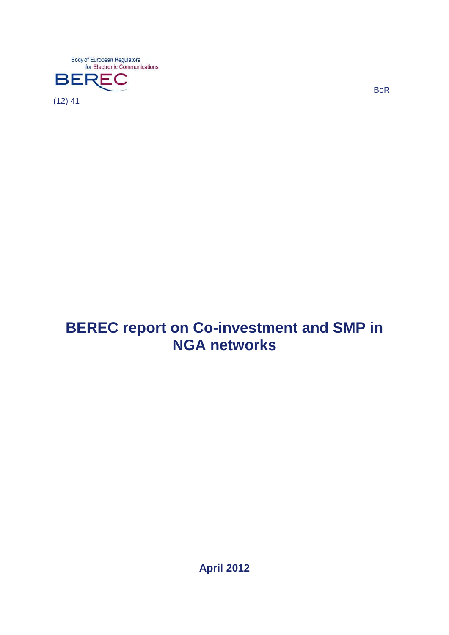**Body of European Regulators** for Electronic Communications



BoR

# **BEREC report on Co-investment and SMP in NGA networks**

**April 2012**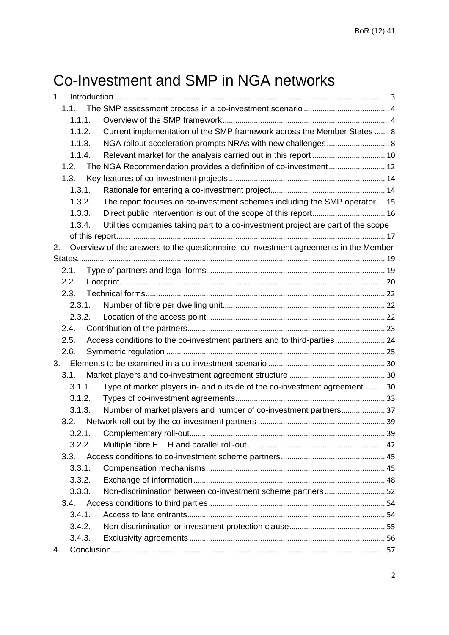# Co-Investment and SMP in NGA networks

| 1. |        |                                                                                      |  |
|----|--------|--------------------------------------------------------------------------------------|--|
|    | 1.1.   |                                                                                      |  |
|    | 1.1.1. |                                                                                      |  |
|    | 1.1.2. | Current implementation of the SMP framework across the Member States  8              |  |
|    | 1.1.3. |                                                                                      |  |
|    | 1.1.4. |                                                                                      |  |
|    | 1.2.   | The NGA Recommendation provides a definition of co-investment 12                     |  |
|    | 1.3.   |                                                                                      |  |
|    | 1.3.1. |                                                                                      |  |
|    | 1.3.2. | The report focuses on co-investment schemes including the SMP operator 15            |  |
|    | 1.3.3. |                                                                                      |  |
|    | 1.3.4. | Utilities companies taking part to a co-investment project are part of the scope     |  |
|    |        |                                                                                      |  |
| 2. |        | Overview of the answers to the questionnaire: co-investment agreements in the Member |  |
|    |        |                                                                                      |  |
|    | 2.1.   |                                                                                      |  |
|    | 2.2.   |                                                                                      |  |
|    | 2.3.   |                                                                                      |  |
|    | 2.3.1. |                                                                                      |  |
|    | 2.3.2. |                                                                                      |  |
|    | 2.4.   |                                                                                      |  |
|    | 2.5.   | Access conditions to the co-investment partners and to third-parties 24              |  |
|    | 2.6.   |                                                                                      |  |
|    |        |                                                                                      |  |
|    | 3.1.   |                                                                                      |  |
|    | 3.1.1. | Type of market players in- and outside of the co-investment agreement 30             |  |
|    | 3.1.2. |                                                                                      |  |
|    | 3.1.3. | Number of market players and number of co-investment partners 37                     |  |
|    | 3.2.   |                                                                                      |  |
|    | 3.2.1. |                                                                                      |  |
|    | 3.2.2. |                                                                                      |  |
|    | 3.3.   |                                                                                      |  |
|    | 3.3.1. |                                                                                      |  |
|    | 3.3.2. |                                                                                      |  |
|    | 3.3.3. | Non-discrimination between co-investment scheme partners 52                          |  |
|    | 3.4.   |                                                                                      |  |
|    | 3.4.1. |                                                                                      |  |
|    | 3.4.2. |                                                                                      |  |
|    | 3.4.3. |                                                                                      |  |
| 4. |        |                                                                                      |  |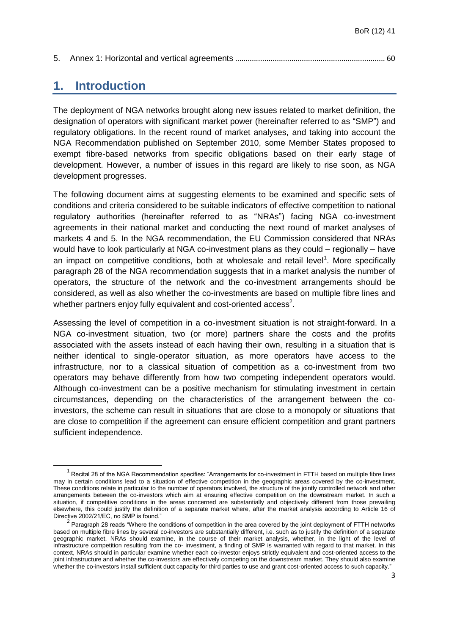<span id="page-2-0"></span>

|--|--|--|

## **1. Introduction**

1

The deployment of NGA networks brought along new issues related to market definition, the designation of operators with significant market power (hereinafter referred to as "SMP") and regulatory obligations. In the recent round of market analyses, and taking into account the NGA Recommendation published on September 2010, some Member States proposed to exempt fibre-based networks from specific obligations based on their early stage of development. However, a number of issues in this regard are likely to rise soon, as NGA development progresses.

The following document aims at suggesting elements to be examined and specific sets of conditions and criteria considered to be suitable indicators of effective competition to national regulatory authorities (hereinafter referred to as "NRAs") facing NGA co-investment agreements in their national market and conducting the next round of market analyses of markets 4 and 5. In the NGA recommendation, the EU Commission considered that NRAs would have to look particularly at NGA co-investment plans as they could – regionally – have an impact on competitive conditions, both at wholesale and retail level<sup>1</sup>. More specifically paragraph 28 of the NGA recommendation suggests that in a market analysis the number of operators, the structure of the network and the co-investment arrangements should be considered, as well as also whether the co-investments are based on multiple fibre lines and whether partners enjoy fully equivalent and cost-oriented access<sup>2</sup>.

Assessing the level of competition in a co-investment situation is not straight-forward. In a NGA co-investment situation, two (or more) partners share the costs and the profits associated with the assets instead of each having their own, resulting in a situation that is neither identical to single-operator situation, as more operators have access to the infrastructure, nor to a classical situation of competition as a co-investment from two operators may behave differently from how two competing independent operators would. Although co-investment can be a positive mechanism for stimulating investment in certain circumstances, depending on the characteristics of the arrangement between the coinvestors, the scheme can result in situations that are close to a monopoly or situations that are close to competition if the agreement can ensure efficient competition and grant partners sufficient independence.

 $1$  Recital 28 of the NGA Recommendation specifies: "Arrangements for co-investment in FTTH based on multiple fibre lines may in certain conditions lead to a situation of effective competition in the geographic areas covered by the co-investment. These conditions relate in particular to the number of operators involved, the structure of the jointly controlled network and other arrangements between the co-investors which aim at ensuring effective competition on the downstream market. In such a situation, if competitive conditions in the areas concerned are substantially and objectively different from those prevailing elsewhere, this could justify the definition of a separate market where, after the market analysis according to Article 16 of Directive 2002/21/EC, no SMP is found."

 $2$  Paragraph 28 reads "Where the conditions of competition in the area covered by the joint deployment of FTTH networks based on multiple fibre lines by several co-investors are substantially different, i.e. such as to justify the definition of a separate geographic market, NRAs should examine, in the course of their market analysis, whether, in the light of the level of infrastructure competition resulting from the co- investment, a finding of SMP is warranted with regard to that market. In this context, NRAs should in particular examine whether each co-investor enjoys strictly equivalent and cost-oriented access to the joint infrastructure and whether the co-investors are effectively competing on the downstream market. They should also examine whether the co-investors install sufficient duct capacity for third parties to use and grant cost-oriented access to such capacity."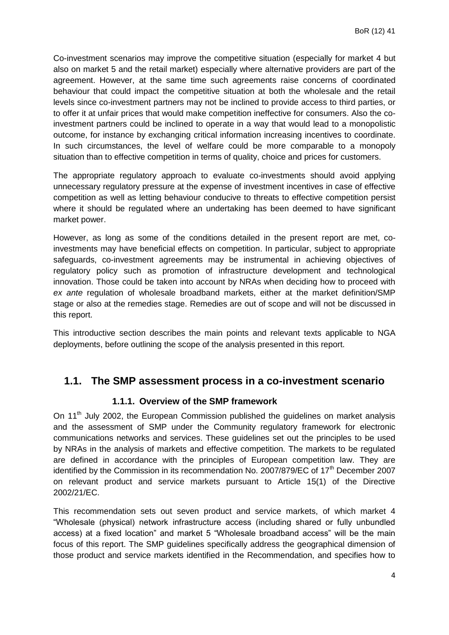Co-investment scenarios may improve the competitive situation (especially for market 4 but also on market 5 and the retail market) especially where alternative providers are part of the agreement. However, at the same time such agreements raise concerns of coordinated behaviour that could impact the competitive situation at both the wholesale and the retail levels since co-investment partners may not be inclined to provide access to third parties, or to offer it at unfair prices that would make competition ineffective for consumers. Also the coinvestment partners could be inclined to operate in a way that would lead to a monopolistic outcome, for instance by exchanging critical information increasing incentives to coordinate. In such circumstances, the level of welfare could be more comparable to a monopoly situation than to effective competition in terms of quality, choice and prices for customers.

The appropriate regulatory approach to evaluate co-investments should avoid applying unnecessary regulatory pressure at the expense of investment incentives in case of effective competition as well as letting behaviour conducive to threats to effective competition persist where it should be regulated where an undertaking has been deemed to have significant market power.

However, as long as some of the conditions detailed in the present report are met, coinvestments may have beneficial effects on competition. In particular, subject to appropriate safeguards, co-investment agreements may be instrumental in achieving objectives of regulatory policy such as promotion of infrastructure development and technological innovation. Those could be taken into account by NRAs when deciding how to proceed with *ex ante* regulation of wholesale broadband markets, either at the market definition/SMP stage or also at the remedies stage. Remedies are out of scope and will not be discussed in this report.

This introductive section describes the main points and relevant texts applicable to NGA deployments, before outlining the scope of the analysis presented in this report.

#### <span id="page-3-0"></span>**1.1. The SMP assessment process in a co-investment scenario**

#### **1.1.1. Overview of the SMP framework**

<span id="page-3-1"></span>On 11<sup>th</sup> July 2002, the European Commission published the guidelines on market analysis and the assessment of SMP under the Community regulatory framework for electronic communications networks and services. These guidelines set out the principles to be used by NRAs in the analysis of markets and effective competition. The markets to be regulated are defined in accordance with the principles of European competition law. They are identified by the Commission in its recommendation No. 2007/879/EC of  $17<sup>th</sup>$  December 2007 on relevant product and service markets pursuant to Article 15(1) of the Directive 2002/21/EC.

This recommendation sets out seven product and service markets, of which market 4 "Wholesale (physical) network infrastructure access (including shared or fully unbundled access) at a fixed location" and market 5 "Wholesale broadband access" will be the main focus of this report. The SMP guidelines specifically address the geographical dimension of those product and service markets identified in the Recommendation, and specifies how to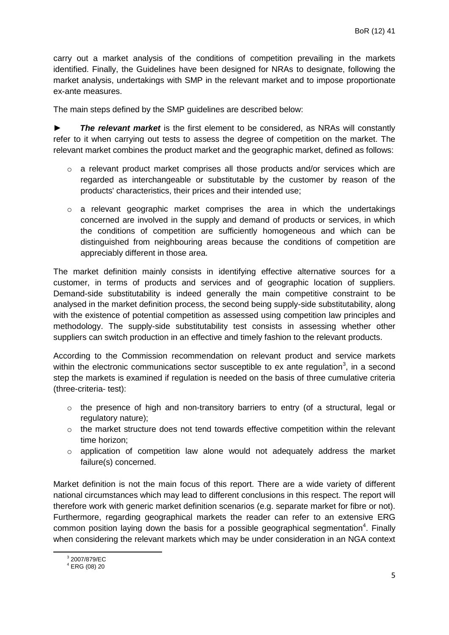carry out a market analysis of the conditions of competition prevailing in the markets identified. Finally, the Guidelines have been designed for NRAs to designate, following the market analysis, undertakings with SMP in the relevant market and to impose proportionate ex-ante measures.

The main steps defined by the SMP guidelines are described below:

► *The relevant market* is the first element to be considered, as NRAs will constantly refer to it when carrying out tests to assess the degree of competition on the market. The relevant market combines the product market and the geographic market, defined as follows:

- o a relevant product market comprises all those products and/or services which are regarded as interchangeable or substitutable by the customer by reason of the products' characteristics, their prices and their intended use;
- $\circ$  a relevant geographic market comprises the area in which the undertakings concerned are involved in the supply and demand of products or services, in which the conditions of competition are sufficiently homogeneous and which can be distinguished from neighbouring areas because the conditions of competition are appreciably different in those area.

The market definition mainly consists in identifying effective alternative sources for a customer, in terms of products and services and of geographic location of suppliers. Demand-side substitutability is indeed generally the main competitive constraint to be analysed in the market definition process, the second being supply-side substitutability, along with the existence of potential competition as assessed using competition law principles and methodology. The supply-side substitutability test consists in assessing whether other suppliers can switch production in an effective and timely fashion to the relevant products.

According to the Commission recommendation on relevant product and service markets within the electronic communications sector susceptible to ex ante regulation<sup>3</sup>, in a second step the markets is examined if regulation is needed on the basis of three cumulative criteria (three-criteria- test):

- o the presence of high and non-transitory barriers to entry (of a structural, legal or regulatory nature);
- $\circ$  the market structure does not tend towards effective competition within the relevant time horizon;
- o application of competition law alone would not adequately address the market failure(s) concerned.

Market definition is not the main focus of this report. There are a wide variety of different national circumstances which may lead to different conclusions in this respect. The report will therefore work with generic market definition scenarios (e.g. separate market for fibre or not). Furthermore, regarding geographical markets the reader can refer to an extensive ERG common position laying down the basis for a possible geographical segmentation<sup>4</sup>. Finally when considering the relevant markets which may be under consideration in an NGA context

1

<sup>3</sup> 2007/879/EC

 $4$  ERG (08) 20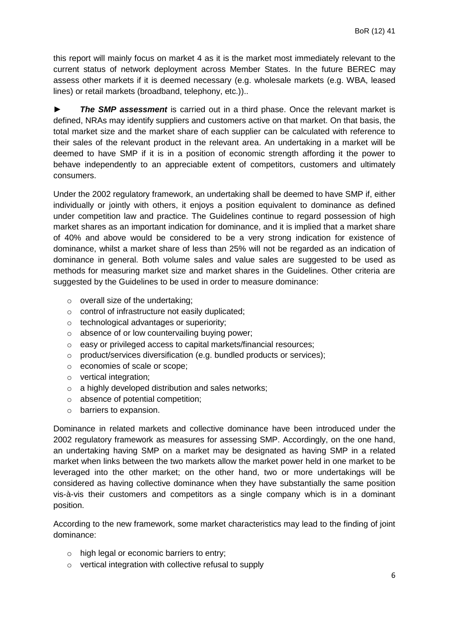this report will mainly focus on market 4 as it is the market most immediately relevant to the current status of network deployment across Member States. In the future BEREC may assess other markets if it is deemed necessary (e.g. wholesale markets (e.g. WBA, leased lines) or retail markets (broadband, telephony, etc.))..

► *The SMP assessment* is carried out in a third phase. Once the relevant market is defined, NRAs may identify suppliers and customers active on that market. On that basis, the total market size and the market share of each supplier can be calculated with reference to their sales of the relevant product in the relevant area. An undertaking in a market will be deemed to have SMP if it is in a position of economic strength affording it the power to behave independently to an appreciable extent of competitors, customers and ultimately consumers.

Under the 2002 regulatory framework, an undertaking shall be deemed to have SMP if, either individually or jointly with others, it enjoys a position equivalent to dominance as defined under competition law and practice. The Guidelines continue to regard possession of high market shares as an important indication for dominance, and it is implied that a market share of 40% and above would be considered to be a very strong indication for existence of dominance, whilst a market share of less than 25% will not be regarded as an indication of dominance in general. Both volume sales and value sales are suggested to be used as methods for measuring market size and market shares in the Guidelines. Other criteria are suggested by the Guidelines to be used in order to measure dominance:

- $\circ$  overall size of the undertaking;
- o control of infrastructure not easily duplicated;
- o technological advantages or superiority;
- o absence of or low countervailing buying power;
- o easy or privileged access to capital markets/financial resources;
- o product/services diversification (e.g. bundled products or services);
- o economies of scale or scope;
- o vertical integration;
- o a highly developed distribution and sales networks;
- o absence of potential competition;
- o barriers to expansion.

Dominance in related markets and collective dominance have been introduced under the 2002 regulatory framework as measures for assessing SMP. Accordingly, on the one hand, an undertaking having SMP on a market may be designated as having SMP in a related market when links between the two markets allow the market power held in one market to be leveraged into the other market; on the other hand, two or more undertakings will be considered as having collective dominance when they have substantially the same position vis-à-vis their customers and competitors as a single company which is in a dominant position.

According to the new framework, some market characteristics may lead to the finding of joint dominance:

- o high legal or economic barriers to entry;
- o vertical integration with collective refusal to supply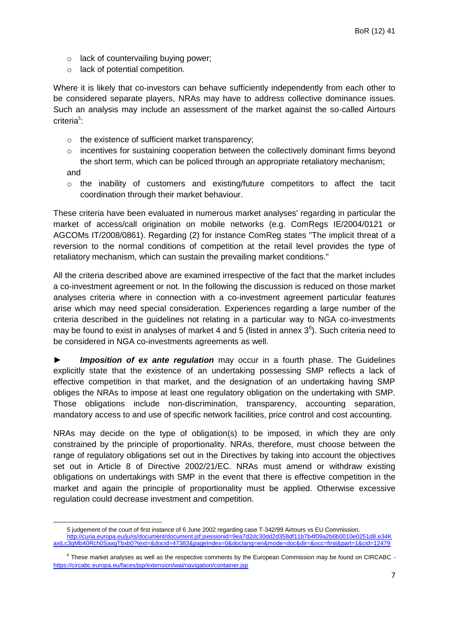- o lack of countervailing buying power;
- o lack of potential competition.

Where it is likely that co-investors can behave sufficiently independently from each other to be considered separate players, NRAs may have to address collective dominance issues. Such an analysis may include an assessment of the market against the so-called Airtours criteria<sup>5</sup>:

- o the existence of sufficient market transparency;
- o incentives for sustaining cooperation between the collectively dominant firms beyond the short term, which can be policed through an appropriate retaliatory mechanism;

and

**.** 

 $\circ$  the inability of customers and existing/future competitors to affect the tacit coordination through their market behaviour.

These criteria have been evaluated in numerous market analyses' regarding in particular the market of access/call origination on mobile networks (e.g. ComRegs IE/2004/0121 or AGCOMs IT/2008/0861). Regarding (2) for instance ComReg states "The implicit threat of a reversion to the normal conditions of competition at the retail level provides the type of retaliatory mechanism, which can sustain the prevailing market conditions."

All the criteria described above are examined irrespective of the fact that the market includes a co-investment agreement or not. In the following the discussion is reduced on those market analyses criteria where in connection with a co-investment agreement particular features arise which may need special consideration. Experiences regarding a large number of the criteria described in the guidelines not relating in a particular way to NGA co-investments may be found to exist in analyses of market 4 and 5 (listed in annex  $3<sup>6</sup>$ ). Such criteria need to be considered in NGA co-investments agreements as well.

► *Imposition of ex ante regulation* may occur in a fourth phase. The Guidelines explicitly state that the existence of an undertaking possessing SMP reflects a lack of effective competition in that market, and the designation of an undertaking having SMP obliges the NRAs to impose at least one regulatory obligation on the undertaking with SMP. Those obligations include non-discrimination, transparency, accounting separation, mandatory access to and use of specific network facilities, price control and cost accounting.

NRAs may decide on the type of obligation(s) to be imposed, in which they are only constrained by the principle of proportionality. NRAs, therefore, must choose between the range of regulatory obligations set out in the Directives by taking into account the objectives set out in Article 8 of Directive 2002/21/EC. NRAs must amend or withdraw existing obligations on undertakings with SMP in the event that there is effective competition in the market and again the principle of proportionality must be applied. Otherwise excessive regulation could decrease investment and competition.

<sup>5</sup> judgement of the court of first instance of 6 June 2002 regarding case T-342/99 Airtours vs EU Commission,

[http://curia.europa.eu/juris/document/document.jsf;jsessionid=9ea7d2dc30dd2d358df11b7b4f09a2b6b0010e0251d8.e34K](http://curia.europa.eu/juris/document/document.jsf;jsessionid=9ea7d2dc30dd2d358df11b7b4f09a2b6b0010e0251d8.e34KaxiLc3qMb40Rch0SaxqTbxb0?text=&docid=47383&pageIndex=0&doclang=en&mode=doc&dir=&occ=first&part=1&cid=12479) [axiLc3qMb40Rch0SaxqTbxb0?text=&docid=47383&pageIndex=0&doclang=en&mode=doc&dir=&occ=first&part=1&cid=12479](http://curia.europa.eu/juris/document/document.jsf;jsessionid=9ea7d2dc30dd2d358df11b7b4f09a2b6b0010e0251d8.e34KaxiLc3qMb40Rch0SaxqTbxb0?text=&docid=47383&pageIndex=0&doclang=en&mode=doc&dir=&occ=first&part=1&cid=12479)

 $6$  These market analyses as well as the respective comments by the European Commission may be found on CIRCABC <https://circabc.europa.eu/faces/jsp/extension/wai/navigation/container.jsp>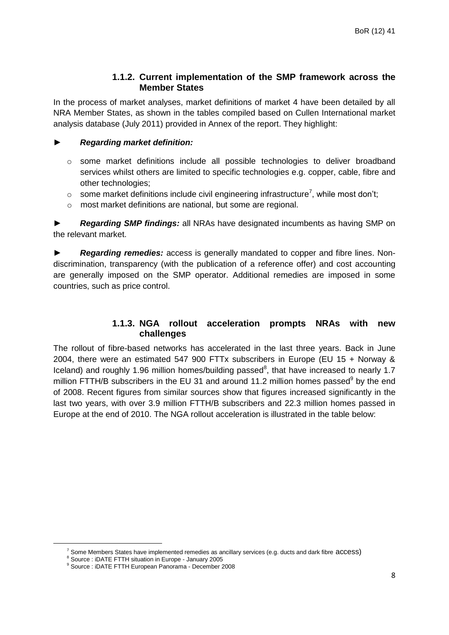#### **1.1.2. Current implementation of the SMP framework across the Member States**

<span id="page-7-0"></span>In the process of market analyses, market definitions of market 4 have been detailed by all NRA Member States, as shown in the tables compiled based on Cullen International market analysis database (July 2011) provided in Annex of the report. They highlight:

#### ► *Regarding market definition:*

- $\circ$  some market definitions include all possible technologies to deliver broadband services whilst others are limited to specific technologies e.g. copper, cable, fibre and other technologies;
- $\circ$  some market definitions include civil engineering infrastructure<sup>7</sup>, while most don't;
- o most market definitions are national, but some are regional.

► *Regarding SMP findings:* all NRAs have designated incumbents as having SMP on the relevant market.

► *Regarding remedies:* access is generally mandated to copper and fibre lines. Nondiscrimination, transparency (with the publication of a reference offer) and cost accounting are generally imposed on the SMP operator. Additional remedies are imposed in some countries, such as price control.

#### **1.1.3. NGA rollout acceleration prompts NRAs with new challenges**

<span id="page-7-1"></span>The rollout of fibre-based networks has accelerated in the last three years. Back in June 2004, there were an estimated 547 900 FTTx subscribers in Europe (EU 15 + Norway & Iceland) and roughly 1.96 million homes/building passed $8$ , that have increased to nearly 1.7 million FTTH/B subscribers in the EU 31 and around 11.2 million homes passed<sup>9</sup> by the end of 2008. Recent figures from similar sources show that figures increased significantly in the last two years, with over 3.9 million FTTH/B subscribers and 22.3 million homes passed in Europe at the end of 2010. The NGA rollout acceleration is illustrated in the table below:

 $^7$  Some Members States have implemented remedies as ancillary services (e.g. ducts and dark fibre  $access$ )

<sup>8</sup> Source : iDATE FTTH situation in Europe - January 2005

<sup>9</sup> Source : iDATE FTTH European Panorama - December 2008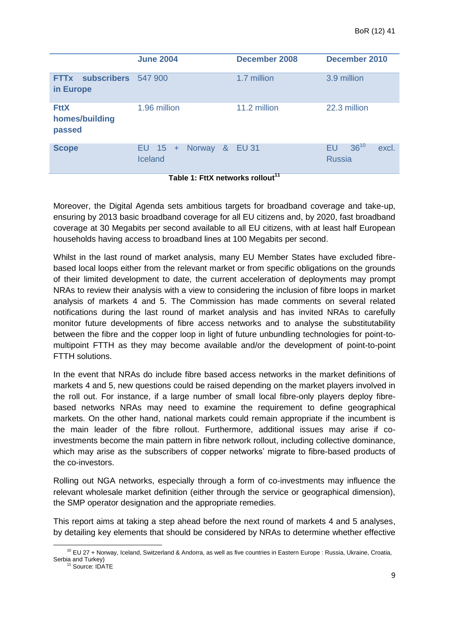|                                         | <b>June 2004</b>                                        | <b>December 2008</b> | December 2010                             |
|-----------------------------------------|---------------------------------------------------------|----------------------|-------------------------------------------|
| FTTx subscribers 547 900<br>in Europe   |                                                         | 1.7 million          | 3.9 million                               |
| <b>FttX</b><br>homes/building<br>passed | 1.96 million                                            | 11.2 million         | 22.3 million                              |
| <b>Scope</b>                            | Norway<br>8 <sup>8</sup><br>EU $15 +$<br><b>Iceland</b> | <b>EU 31</b>         | $36^{10}$<br>EU<br>excl.<br><b>Russia</b> |

**Table 1: FttX networks rollout<sup>11</sup>**

Moreover, the Digital Agenda sets ambitious targets for broadband coverage and take-up, ensuring by 2013 basic broadband coverage for all EU citizens and, by 2020, fast broadband coverage at 30 Megabits per second available to all EU citizens, with at least half European households having access to broadband lines at 100 Megabits per second.

Whilst in the last round of market analysis, many EU Member States have excluded fibrebased local loops either from the relevant market or from specific obligations on the grounds of their limited development to date, the current acceleration of deployments may prompt NRAs to review their analysis with a view to considering the inclusion of fibre loops in market analysis of markets 4 and 5. The Commission has made comments on several related notifications during the last round of market analysis and has invited NRAs to carefully monitor future developments of fibre access networks and to analyse the substitutability between the fibre and the copper loop in light of future unbundling technologies for point-tomultipoint FTTH as they may become available and/or the development of point-to-point FTTH solutions.

In the event that NRAs do include fibre based access networks in the market definitions of markets 4 and 5, new questions could be raised depending on the market players involved in the roll out. For instance, if a large number of small local fibre-only players deploy fibrebased networks NRAs may need to examine the requirement to define geographical markets. On the other hand, national markets could remain appropriate if the incumbent is the main leader of the fibre rollout. Furthermore, additional issues may arise if coinvestments become the main pattern in fibre network rollout, including collective dominance, which may arise as the subscribers of copper networks' migrate to fibre-based products of the co-investors.

Rolling out NGA networks, especially through a form of co-investments may influence the relevant wholesale market definition (either through the service or geographical dimension), the SMP operator designation and the appropriate remedies.

This report aims at taking a step ahead before the next round of markets 4 and 5 analyses, by detailing key elements that should be considered by NRAs to determine whether effective

**<sup>.</sup>**  $10$  EU 27 + Norway, Iceland, Switzerland & Andorra, as well as five countries in Eastern Europe : Russia, Ukraine, Croatia, Serbia and Turkey)

<sup>&</sup>lt;sup>11</sup> Source: IDATE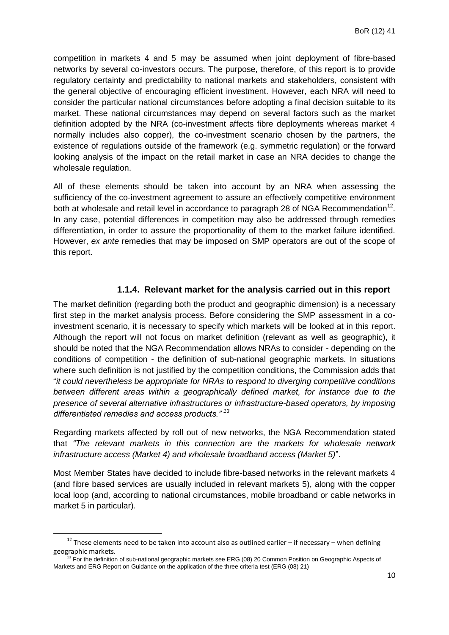competition in markets 4 and 5 may be assumed when joint deployment of fibre-based networks by several co-investors occurs. The purpose, therefore, of this report is to provide regulatory certainty and predictability to national markets and stakeholders, consistent with the general objective of encouraging efficient investment. However, each NRA will need to consider the particular national circumstances before adopting a final decision suitable to its market. These national circumstances may depend on several factors such as the market definition adopted by the NRA (co-investment affects fibre deployments whereas market 4 normally includes also copper), the co-investment scenario chosen by the partners, the existence of regulations outside of the framework (e.g. symmetric regulation) or the forward looking analysis of the impact on the retail market in case an NRA decides to change the wholesale regulation.

All of these elements should be taken into account by an NRA when assessing the sufficiency of the co-investment agreement to assure an effectively competitive environment both at wholesale and retail level in accordance to paragraph 28 of NGA Recommendation<sup>12</sup>. In any case, potential differences in competition may also be addressed through remedies differentiation, in order to assure the proportionality of them to the market failure identified. However, *ex ante* remedies that may be imposed on SMP operators are out of the scope of this report.

#### **1.1.4. Relevant market for the analysis carried out in this report**

<span id="page-9-0"></span>The market definition (regarding both the product and geographic dimension) is a necessary first step in the market analysis process. Before considering the SMP assessment in a coinvestment scenario, it is necessary to specify which markets will be looked at in this report. Although the report will not focus on market definition (relevant as well as geographic), it should be noted that the NGA Recommendation allows NRAs to consider - depending on the conditions of competition - the definition of sub-national geographic markets. In situations where such definition is not justified by the competition conditions, the Commission adds that "*it could nevertheless be appropriate for NRAs to respond to diverging competitive conditions between different areas within a geographically defined market, for instance due to the presence of several alternative infrastructures or infrastructure-based operators, by imposing differentiated remedies and access products." <sup>13</sup>*

Regarding markets affected by roll out of new networks, the NGA Recommendation stated that *"The relevant markets in this connection are the markets for wholesale network infrastructure access (Market 4) and wholesale broadband access (Market 5)*".

Most Member States have decided to include fibre-based networks in the relevant markets 4 (and fibre based services are usually included in relevant markets 5), along with the copper local loop (and, according to national circumstances, mobile broadband or cable networks in market 5 in particular).

 $12$  These elements need to be taken into account also as outlined earlier – if necessary – when defining geographic markets.

<sup>13</sup> For the definition of sub-national geographic markets see ERG (08) 20 Common Position on Geographic Aspects of Markets and ERG Report on Guidance on the application of the three criteria test (ERG (08) 21)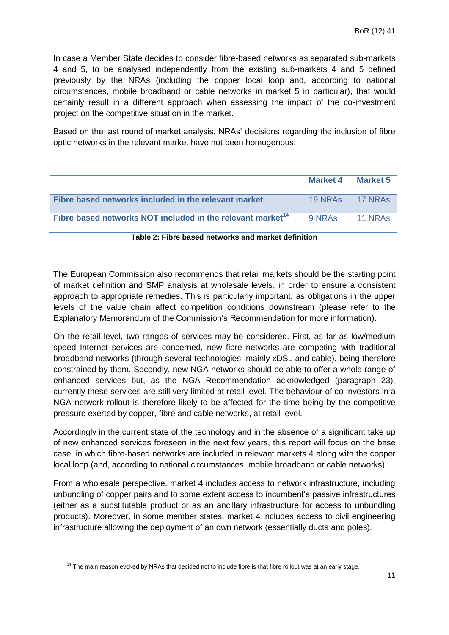In case a Member State decides to consider fibre-based networks as separated sub-markets 4 and 5, to be analysed independently from the existing sub-markets 4 and 5 defined previously by the NRAs (including the copper local loop and, according to national circumstances, mobile broadband or cable networks in market 5 in particular), that would certainly result in a different approach when assessing the impact of the co-investment project on the competitive situation in the market.

Based on the last round of market analysis, NRAs' decisions regarding the inclusion of fibre optic networks in the relevant market have not been homogenous:

|                                                                        | Market 4 Market 5 |                |
|------------------------------------------------------------------------|-------------------|----------------|
| Fibre based networks included in the relevant market                   | 19 NRAs 17 NRAs   |                |
| Fibre based networks NOT included in the relevant market <sup>14</sup> | 9 NRAS            | <b>11 NRAS</b> |

#### **Table 2: Fibre based networks and market definition**

The European Commission also recommends that retail markets should be the starting point of market definition and SMP analysis at wholesale levels, in order to ensure a consistent approach to appropriate remedies. This is particularly important, as obligations in the upper levels of the value chain affect competition conditions downstream (please refer to the Explanatory Memorandum of the Commission's Recommendation for more information).

On the retail level, two ranges of services may be considered. First, as far as low/medium speed Internet services are concerned, new fibre networks are competing with traditional broadband networks (through several technologies, mainly xDSL and cable), being therefore constrained by them. Secondly, new NGA networks should be able to offer a whole range of enhanced services but, as the NGA Recommendation acknowledged (paragraph 23), currently these services are still very limited at retail level. The behaviour of co-investors in a NGA network rollout is therefore likely to be affected for the time being by the competitive pressure exerted by copper, fibre and cable networks, at retail level.

Accordingly in the current state of the technology and in the absence of a significant take up of new enhanced services foreseen in the next few years, this report will focus on the base case, in which fibre-based networks are included in relevant markets 4 along with the copper local loop (and, according to national circumstances, mobile broadband or cable networks).

From a wholesale perspective, market 4 includes access to network infrastructure, including unbundling of copper pairs and to some extent access to incumbent's passive infrastructures (either as a substitutable product or as an ancillary infrastructure for access to unbundling products). Moreover, in some member states, market 4 includes access to civil engineering infrastructure allowing the deployment of an own network (essentially ducts and poles).

 $14$  The main reason evoked by NRAs that decided not to include fibre is that fibre rollout was at an early stage.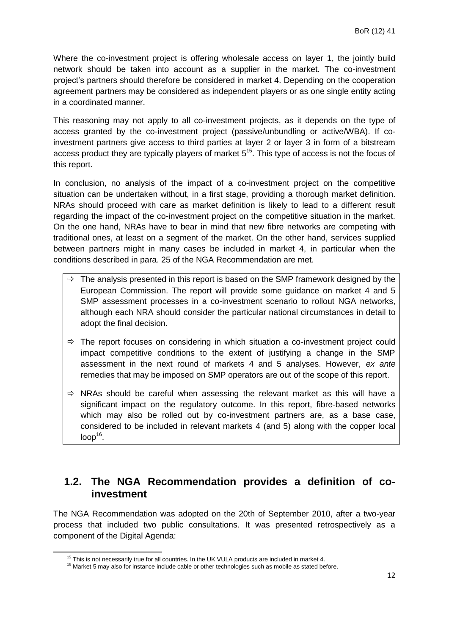Where the co-investment project is offering wholesale access on layer 1, the jointly build network should be taken into account as a supplier in the market. The co-investment project's partners should therefore be considered in market 4. Depending on the cooperation agreement partners may be considered as independent players or as one single entity acting in a coordinated manner.

This reasoning may not apply to all co-investment projects, as it depends on the type of access granted by the co-investment project (passive/unbundling or active/WBA). If coinvestment partners give access to third parties at layer 2 or layer 3 in form of a bitstream access product they are typically players of market  $5^{15}$ . This type of access is not the focus of this report.

In conclusion, no analysis of the impact of a co-investment project on the competitive situation can be undertaken without, in a first stage, providing a thorough market definition. NRAs should proceed with care as market definition is likely to lead to a different result regarding the impact of the co-investment project on the competitive situation in the market. On the one hand, NRAs have to bear in mind that new fibre networks are competing with traditional ones, at least on a segment of the market. On the other hand, services supplied between partners might in many cases be included in market 4, in particular when the conditions described in para. 25 of the NGA Recommendation are met.

- $\Rightarrow$  The analysis presented in this report is based on the SMP framework designed by the European Commission. The report will provide some guidance on market 4 and 5 SMP assessment processes in a co-investment scenario to rollout NGA networks, although each NRA should consider the particular national circumstances in detail to adopt the final decision.
- $\Rightarrow$  The report focuses on considering in which situation a co-investment project could impact competitive conditions to the extent of justifying a change in the SMP assessment in the next round of markets 4 and 5 analyses. However, *ex ante* remedies that may be imposed on SMP operators are out of the scope of this report.
- $\Rightarrow$  NRAs should be careful when assessing the relevant market as this will have a significant impact on the regulatory outcome. In this report, fibre-based networks which may also be rolled out by co-investment partners are, as a base case, considered to be included in relevant markets 4 (and 5) along with the copper local  $loop<sup>16</sup>$ .

## <span id="page-11-0"></span>**1.2. The NGA Recommendation provides a definition of coinvestment**

The NGA Recommendation was adopted on the 20th of September 2010, after a two-year process that included two public consultations. It was presented retrospectively as a component of the Digital Agenda:

1

 $15$  This is not necessarily true for all countries. In the UK VULA products are included in market 4.

<sup>&</sup>lt;sup>16</sup> Market 5 may also for instance include cable or other technologies such as mobile as stated before.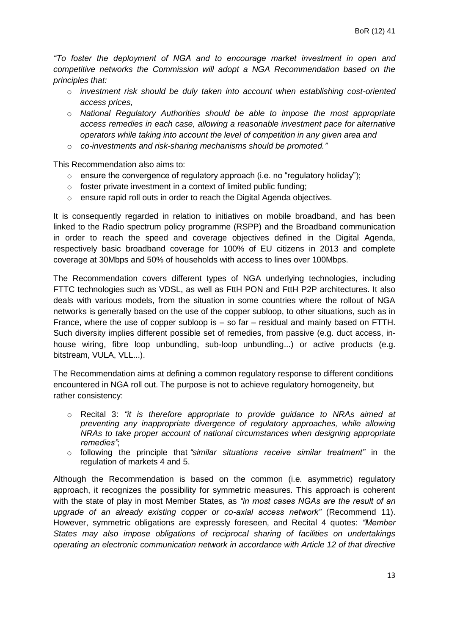*"To foster the deployment of NGA and to encourage market investment in open and competitive networks the Commission will adopt a NGA Recommendation based on the principles that:* 

- o *investment risk should be duly taken into account when establishing cost-oriented access prices,*
- o *National Regulatory Authorities should be able to impose the most appropriate access remedies in each case, allowing a reasonable investment pace for alternative operators while taking into account the level of competition in any given area and*
- o *co-investments and risk-sharing mechanisms should be promoted."*

This Recommendation also aims to:

- $\circ$  ensure the convergence of regulatory approach (i.e. no "regulatory holiday");
- o foster private investment in a context of limited public funding;
- o ensure rapid roll outs in order to reach the Digital Agenda objectives.

It is consequently regarded in relation to initiatives on mobile broadband, and has been linked to the Radio spectrum policy programme (RSPP) and the Broadband communication in order to reach the speed and coverage objectives defined in the Digital Agenda, respectively basic broadband coverage for 100% of EU citizens in 2013 and complete coverage at 30Mbps and 50% of households with access to lines over 100Mbps.

The Recommendation covers different types of NGA underlying technologies, including FTTC technologies such as VDSL, as well as FttH PON and FttH P2P architectures. It also deals with various models, from the situation in some countries where the rollout of NGA networks is generally based on the use of the copper subloop, to other situations, such as in France, where the use of copper subloop is  $-$  so far  $-$  residual and mainly based on FTTH. Such diversity implies different possible set of remedies, from passive (e.g. duct access, inhouse wiring, fibre loop unbundling, sub-loop unbundling...) or active products (e.g. bitstream, VULA, VLL...).

The Recommendation aims at defining a common regulatory response to different conditions encountered in NGA roll out. The purpose is not to achieve regulatory homogeneity, but rather consistency:

- o Recital 3: *"it is therefore appropriate to provide guidance to NRAs aimed at preventing any inappropriate divergence of regulatory approaches, while allowing NRAs to take proper account of national circumstances when designing appropriate remedies"*;
- o following the principle that *"similar situations receive similar treatment"* in the regulation of markets 4 and 5.

Although the Recommendation is based on the common (i.e. asymmetric) regulatory approach, it recognizes the possibility for symmetric measures. This approach is coherent with the state of play in most Member States, as *"in most cases NGAs are the result of an upgrade of an already existing copper or co-axial access network"* (Recommend 11). However, symmetric obligations are expressly foreseen, and Recital 4 quotes: *"Member States may also impose obligations of reciprocal sharing of facilities on undertakings operating an electronic communication network in accordance with Article 12 of that directive*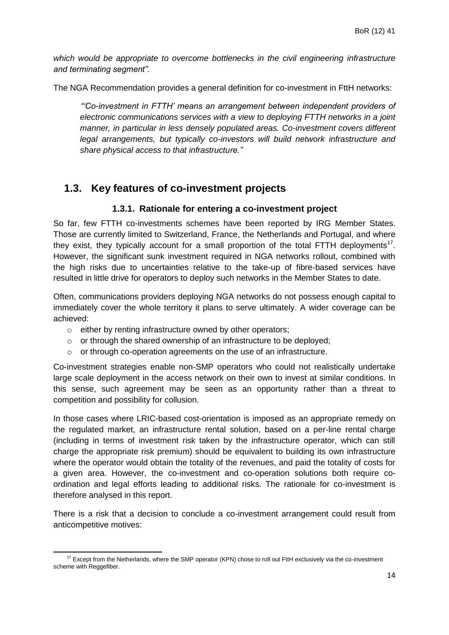*which would be appropriate to overcome bottlenecks in the civil engineering infrastructure and terminating segment".*

The NGA Recommendation provides a general definition for co-investment in FttH networks:

*"'Co-investment in FTTH' means an arrangement between independent providers of electronic communications services with a view to deploying FTTH networks in a joint manner, in particular in less densely populated areas. Co-investment covers different legal arrangements, but typically co-investors will build network infrastructure and share physical access to that infrastructure."*

## <span id="page-13-0"></span>**1.3. Key features of co-investment projects**

#### **1.3.1. Rationale for entering a co-investment project**

<span id="page-13-1"></span>So far, few FTTH co-investments schemes have been reported by IRG Member States. Those are currently limited to Switzerland, France, the Netherlands and Portugal, and where they exist, they typically account for a small proportion of the total FTTH deployments<sup>17</sup>. However, the significant sunk investment required in NGA networks rollout, combined with the high risks due to uncertainties relative to the take-up of fibre-based services have resulted in little drive for operators to deploy such networks in the Member States to date.

Often, communications providers deploying NGA networks do not possess enough capital to immediately cover the whole territory it plans to serve ultimately. A wider coverage can be achieved:

- o either by renting infrastructure owned by other operators;
- $\circ$  or through the shared ownership of an infrastructure to be deployed;
- o or through co-operation agreements on the use of an infrastructure.

Co-investment strategies enable non-SMP operators who could not realistically undertake large scale deployment in the access network on their own to invest at similar conditions. In this sense, such agreement may be seen as an opportunity rather than a threat to competition and possibility for collusion.

In those cases where LRIC-based cost-orientation is imposed as an appropriate remedy on the regulated market, an infrastructure rental solution, based on a per-line rental charge (including in terms of investment risk taken by the infrastructure operator, which can still charge the appropriate risk premium) should be equivalent to building its own infrastructure where the operator would obtain the totality of the revenues, and paid the totality of costs for a given area. However, the co-investment and co-operation solutions both require coordination and legal efforts leading to additional risks. The rationale for co-investment is therefore analysed in this report.

There is a risk that a decision to conclude a co-investment arrangement could result from anticompetitive motives:

<sup>1</sup>  $17$  Except from the Netherlands, where the SMP operator (KPN) chose to roll out FttH exclusively via the co-investment scheme with Reggefiber.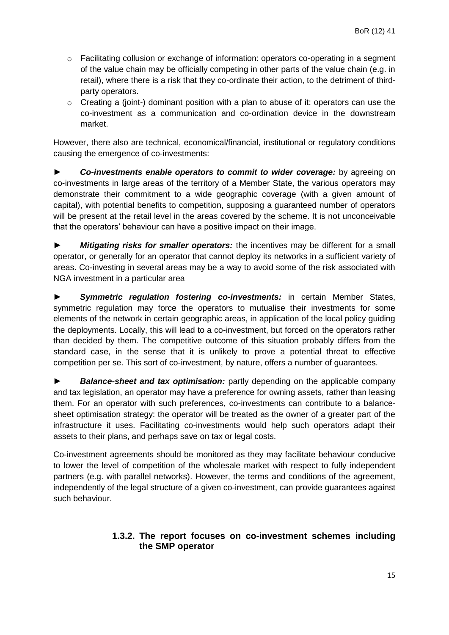- o Facilitating collusion or exchange of information: operators co-operating in a segment of the value chain may be officially competing in other parts of the value chain (e.g. in retail), where there is a risk that they co-ordinate their action, to the detriment of thirdparty operators.
- $\circ$  Creating a (joint-) dominant position with a plan to abuse of it: operators can use the co-investment as a communication and co-ordination device in the downstream market.

However, there also are technical, economical/financial, institutional or regulatory conditions causing the emergence of co-investments:

► *Co-investments enable operators to commit to wider coverage:* by agreeing on co-investments in large areas of the territory of a Member State, the various operators may demonstrate their commitment to a wide geographic coverage (with a given amount of capital), with potential benefits to competition, supposing a guaranteed number of operators will be present at the retail level in the areas covered by the scheme. It is not unconceivable that the operators' behaviour can have a positive impact on their image.

► *Mitigating risks for smaller operators:* the incentives may be different for a small operator, or generally for an operator that cannot deploy its networks in a sufficient variety of areas. Co-investing in several areas may be a way to avoid some of the risk associated with NGA investment in a particular area

► *Symmetric regulation fostering co-investments:* in certain Member States, symmetric regulation may force the operators to mutualise their investments for some elements of the network in certain geographic areas, in application of the local policy guiding the deployments. Locally, this will lead to a co-investment, but forced on the operators rather than decided by them. The competitive outcome of this situation probably differs from the standard case, in the sense that it is unlikely to prove a potential threat to effective competition per se. This sort of co-investment, by nature, offers a number of guarantees.

► *Balance-sheet and tax optimisation:* partly depending on the applicable company and tax legislation, an operator may have a preference for owning assets, rather than leasing them. For an operator with such preferences, co-investments can contribute to a balancesheet optimisation strategy: the operator will be treated as the owner of a greater part of the infrastructure it uses. Facilitating co-investments would help such operators adapt their assets to their plans, and perhaps save on tax or legal costs.

Co-investment agreements should be monitored as they may facilitate behaviour conducive to lower the level of competition of the wholesale market with respect to fully independent partners (e.g. with parallel networks). However, the terms and conditions of the agreement, independently of the legal structure of a given co-investment, can provide guarantees against such behaviour.

#### <span id="page-14-0"></span>**1.3.2. The report focuses on co-investment schemes including the SMP operator**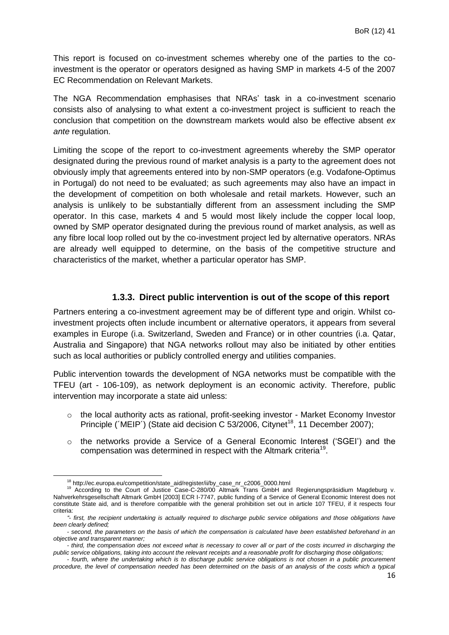This report is focused on co-investment schemes whereby one of the parties to the coinvestment is the operator or operators designed as having SMP in markets 4-5 of the 2007 EC Recommendation on Relevant Markets.

The NGA Recommendation emphasises that NRAs' task in a co-investment scenario consists also of analysing to what extent a co-investment project is sufficient to reach the conclusion that competition on the downstream markets would also be effective absent *ex ante* regulation.

Limiting the scope of the report to co-investment agreements whereby the SMP operator designated during the previous round of market analysis is a party to the agreement does not obviously imply that agreements entered into by non-SMP operators (e.g. Vodafone-Optimus in Portugal) do not need to be evaluated; as such agreements may also have an impact in the development of competition on both wholesale and retail markets. However, such an analysis is unlikely to be substantially different from an assessment including the SMP operator. In this case, markets 4 and 5 would most likely include the copper local loop, owned by SMP operator designated during the previous round of market analysis, as well as any fibre local loop rolled out by the co-investment project led by alternative operators. NRAs are already well equipped to determine, on the basis of the competitive structure and characteristics of the market, whether a particular operator has SMP.

#### **1.3.3. Direct public intervention is out of the scope of this report**

<span id="page-15-0"></span>Partners entering a co-investment agreement may be of different type and origin. Whilst coinvestment projects often include incumbent or alternative operators, it appears from several examples in Europe (i.a. Switzerland, Sweden and France) or in other countries (i.a. Qatar, Australia and Singapore) that NGA networks rollout may also be initiated by other entities such as local authorities or publicly controlled energy and utilities companies.

Public intervention towards the development of NGA networks must be compatible with the TFEU (art - 106-109), as network deployment is an economic activity. Therefore, public intervention may incorporate a state aid unless:

- $\circ$  the local authority acts as rational, profit-seeking investor Market Economy Investor Principle ( $MEP'$ ) (State aid decision C 53/2006, Citynet<sup>18</sup>, 11 December 2007);
- $\circ$  the networks provide a Service of a General Economic Interest ('SGEI') and the compensation was determined in respect with the Altmark criteria<sup>19</sup>.

1

<sup>18</sup> http://ec.europa.eu/competition/state\_aid/register/ii/by\_case\_nr\_c2006\_0000.html

<sup>&</sup>lt;sup>19</sup> According to the Court of Justice Case-C-280/00 Altmark Trans GmbH and Regierungspräsidium Magdeburg v. Nahverkehrsgesellschaft Altmark GmbH [2003] ECR I-7747, public funding of a Service of General Economic Interest does not constitute State aid, and is therefore compatible with the general prohibition set out in article 107 TFEU, if it respects four criteria:

*<sup>&</sup>quot;- first, the recipient undertaking is actually required to discharge public service obligations and those obligations have been clearly defined;*

*<sup>-</sup> second, the parameters on the basis of which the compensation is calculated have been established beforehand in an objective and transparent manner;*

*<sup>-</sup> third, the compensation does not exceed what is necessary to cover all or part of the costs incurred in discharging the public service obligations, taking into account the relevant receipts and a reasonable profit for discharging those obligations;*

*<sup>-</sup> fourth, where the undertaking which is to discharge public service obligations is not chosen in a public procurement procedure, the level of compensation needed has been determined on the basis of an analysis of the costs which a typical*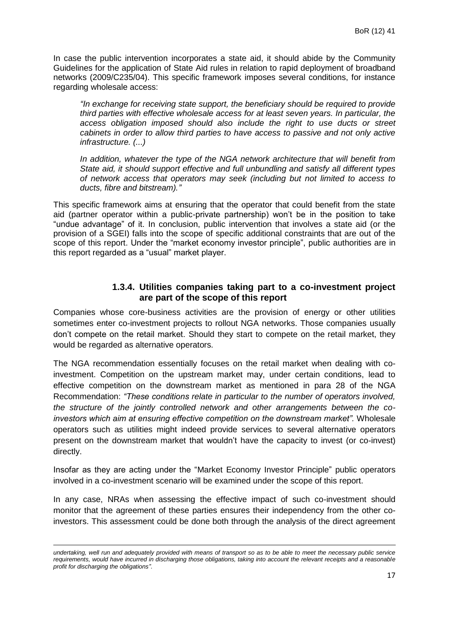In case the public intervention incorporates a state aid, it should abide by the Community Guidelines for the application of State Aid rules in relation to rapid deployment of broadband networks (2009/C235/04). This specific framework imposes several conditions, for instance regarding wholesale access:

*"In exchange for receiving state support, the beneficiary should be required to provide third parties with effective wholesale access for at least seven years. In particular, the access obligation imposed should also include the right to use ducts or street cabinets in order to allow third parties to have access to passive and not only active infrastructure. (...)*

*In addition, whatever the type of the NGA network architecture that will benefit from State aid, it should support effective and full unbundling and satisfy all different types of network access that operators may seek (including but not limited to access to ducts, fibre and bitstream)."*

This specific framework aims at ensuring that the operator that could benefit from the state aid (partner operator within a public-private partnership) won't be in the position to take "undue advantage" of it. In conclusion, public intervention that involves a state aid (or the provision of a SGEI) falls into the scope of specific additional constraints that are out of the scope of this report. Under the "market economy investor principle", public authorities are in this report regarded as a "usual" market player.

#### **1.3.4. Utilities companies taking part to a co-investment project are part of the scope of this report**

<span id="page-16-0"></span>Companies whose core-business activities are the provision of energy or other utilities sometimes enter co-investment projects to rollout NGA networks. Those companies usually don't compete on the retail market. Should they start to compete on the retail market, they would be regarded as alternative operators.

The NGA recommendation essentially focuses on the retail market when dealing with coinvestment. Competition on the upstream market may, under certain conditions, lead to effective competition on the downstream market as mentioned in para 28 of the NGA Recommendation: *"These conditions relate in particular to the number of operators involved, the structure of the jointly controlled network and other arrangements between the coinvestors which aim at ensuring effective competition on the downstream market".* Wholesale operators such as utilities might indeed provide services to several alternative operators present on the downstream market that wouldn't have the capacity to invest (or co-invest) directly.

Insofar as they are acting under the "Market Economy Investor Principle" public operators involved in a co-investment scenario will be examined under the scope of this report.

In any case, NRAs when assessing the effective impact of such co-investment should monitor that the agreement of these parties ensures their independency from the other coinvestors. This assessment could be done both through the analysis of the direct agreement

*undertaking, well run and adequately provided with means of transport so as to be able to meet the necessary public service requirements, would have incurred in discharging those obligations, taking into account the relevant receipts and a reasonable profit for discharging the obligations"*.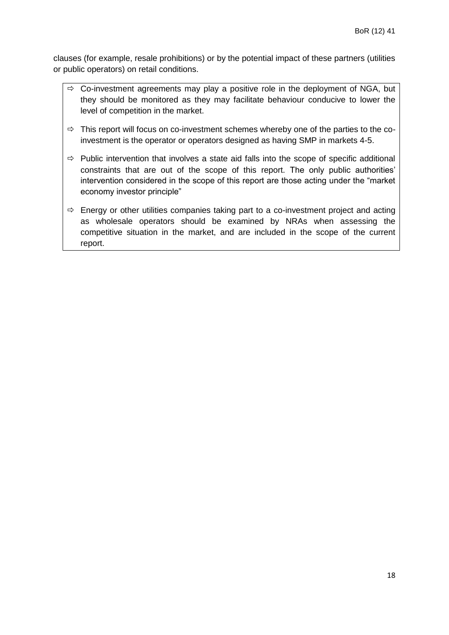clauses (for example, resale prohibitions) or by the potential impact of these partners (utilities or public operators) on retail conditions.

- $\Rightarrow$  Co-investment agreements may play a positive role in the deployment of NGA, but they should be monitored as they may facilitate behaviour conducive to lower the level of competition in the market.
- $\Rightarrow$  This report will focus on co-investment schemes whereby one of the parties to the coinvestment is the operator or operators designed as having SMP in markets 4-5.
- $\Rightarrow$  Public intervention that involves a state aid falls into the scope of specific additional constraints that are out of the scope of this report. The only public authorities' intervention considered in the scope of this report are those acting under the "market economy investor principle"
- $\Rightarrow$  Energy or other utilities companies taking part to a co-investment project and acting as wholesale operators should be examined by NRAs when assessing the competitive situation in the market, and are included in the scope of the current report.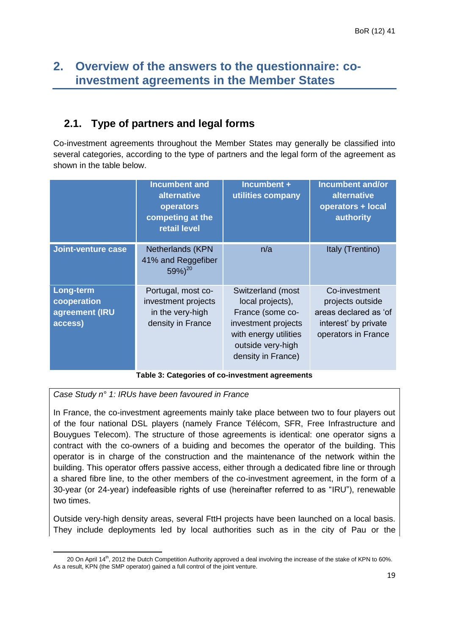## <span id="page-18-0"></span>**2. Overview of the answers to the questionnaire: coinvestment agreements in the Member States**

## <span id="page-18-1"></span>**2.1. Type of partners and legal forms**

Co-investment agreements throughout the Member States may generally be classified into several categories, according to the type of partners and the legal form of the agreement as shown in the table below.

| <b>Incumbent and</b><br>alternative<br>operators<br>competing at the<br>retail level |                                                                                    | Incumbent +<br>utilities company                                                                                                                     | Incumbent and/or<br>alternative<br>operators + local<br>authority                                         |
|--------------------------------------------------------------------------------------|------------------------------------------------------------------------------------|------------------------------------------------------------------------------------------------------------------------------------------------------|-----------------------------------------------------------------------------------------------------------|
| Joint-venture case                                                                   | Netherlands (KPN<br>41% and Reggefiber<br>$59\%)^{20}$                             | n/a                                                                                                                                                  | Italy (Trentino)                                                                                          |
| <b>Long-term</b><br>cooperation<br>agreement (IRU<br>access)                         | Portugal, most co-<br>investment projects<br>in the very-high<br>density in France | Switzerland (most<br>local projects),<br>France (some co-<br>investment projects<br>with energy utilities<br>outside very-high<br>density in France) | Co-investment<br>projects outside<br>areas declared as 'of<br>interest' by private<br>operators in France |

#### **Table 3: Categories of co-investment agreements**

*Case Study n° 1: IRUs have been favoured in France*

In France, the co-investment agreements mainly take place between two to four players out of the four national DSL players (namely France Télécom, SFR, Free Infrastructure and Bouygues Telecom). The structure of those agreements is identical: one operator signs a contract with the co-owners of a buiding and becomes the operator of the building. This operator is in charge of the construction and the maintenance of the network within the building. This operator offers passive access, either through a dedicated fibre line or through a shared fibre line, to the other members of the co-investment agreement, in the form of a 30-year (or 24-year) indefeasible rights of use (hereinafter referred to as "IRU"), renewable two times.

Outside very-high density areas, several FttH projects have been launched on a local basis. They include deployments led by local authorities such as in the city of Pau or the

<sup>1</sup> 20 On April 14<sup>th</sup>, 2012 the Dutch Competition Authority approved a deal involving the increase of the stake of KPN to 60%. As a result, KPN (the SMP operator) gained a full control of the joint venture.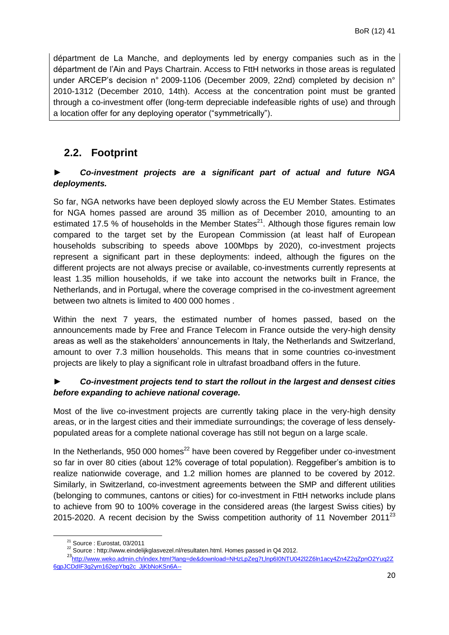départment de La Manche, and deployments led by energy companies such as in the départment de l'Ain and Pays Chartrain. Access to FttH networks in those areas is regulated under ARCEP's decision n° 2009-1106 (December 2009, 22nd) completed by decision n° 2010-1312 (December 2010, 14th). Access at the concentration point must be granted through a co-investment offer (long-term depreciable indefeasible rights of use) and through a location offer for any deploying operator ("symmetrically").

## <span id="page-19-0"></span>**2.2. Footprint**

#### ► *Co-investment projects are a significant part of actual and future NGA deployments.*

So far, NGA networks have been deployed slowly across the EU Member States. Estimates for NGA homes passed are around 35 million as of December 2010, amounting to an estimated 17.5 % of households in the Member States $^{21}$ . Although those figures remain low compared to the target set by the European Commission (at least half of European households subscribing to speeds above 100Mbps by 2020), co-investment projects represent a significant part in these deployments: indeed, although the figures on the different projects are not always precise or available, co-investments currently represents at least 1.35 million households, if we take into account the networks built in France, the Netherlands, and in Portugal, where the coverage comprised in the co-investment agreement between two altnets is limited to 400 000 homes .

Within the next 7 years, the estimated number of homes passed, based on the announcements made by Free and France Telecom in France outside the very-high density areas as well as the stakeholders' announcements in Italy, the Netherlands and Switzerland, amount to over 7.3 million households. This means that in some countries co-investment projects are likely to play a significant role in ultrafast broadband offers in the future.

#### ► *Co-investment projects tend to start the rollout in the largest and densest cities before expanding to achieve national coverage.*

Most of the live co-investment projects are currently taking place in the very-high density areas, or in the largest cities and their immediate surroundings; the coverage of less denselypopulated areas for a complete national coverage has still not begun on a large scale.

In the Netherlands, 950 000 homes<sup>22</sup> have been covered by Reggefiber under co-investment so far in over 80 cities (about 12% coverage of total population). Reggefiber's ambition is to realize nationwide coverage, and 1.2 million homes are planned to be covered by 2012. Similarly, in Switzerland, co-investment agreements between the SMP and different utilities (belonging to communes, cantons or cities) for co-investment in FttH networks include plans to achieve from 90 to 100% coverage in the considered areas (the largest Swiss cities) by 2015-2020. A recent decision by the Swiss competition authority of 11 November 2011 $^{23}$ 

<sup>21</sup> Source : Eurostat, 03/2011

<sup>22</sup> Source : http://www.eindelijkglasvezel.nl/resultaten.html. Homes passed in Q4 2012.

<sup>23</sup>[http://www.weko.admin.ch/index.html?lang=de&download=NHzLpZeg7t,lnp6I0NTU042l2Z6ln1acy4Zn4Z2qZpnO2Yuq2Z](http://www.weko.admin.ch/index.html?lang=de&download=NHzLpZeg7t,lnp6I0NTU042l2Z6ln1acy4Zn4Z2qZpnO2Yuq2Z6gpJCDdIF3g2ym162epYbg2c_JjKbNoKSn6A--) [6gpJCDdIF3g2ym162epYbg2c\\_JjKbNoKSn6A--](http://www.weko.admin.ch/index.html?lang=de&download=NHzLpZeg7t,lnp6I0NTU042l2Z6ln1acy4Zn4Z2qZpnO2Yuq2Z6gpJCDdIF3g2ym162epYbg2c_JjKbNoKSn6A--)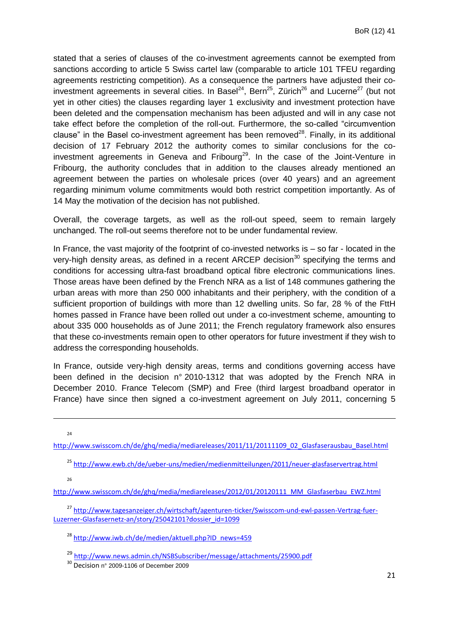stated that a series of clauses of the co-investment agreements cannot be exempted from sanctions according to article 5 Swiss cartel law (comparable to article 101 TFEU regarding agreements restricting competition). As a consequence the partners have adjusted their coinvestment agreements in several cities. In Basel<sup>24</sup>, Bern<sup>25</sup>, Zürich<sup>26</sup> and Lucerne<sup>27</sup> (but not yet in other cities) the clauses regarding layer 1 exclusivity and investment protection have been deleted and the compensation mechanism has been adjusted and will in any case not take effect before the completion of the roll-out. Furthermore, the so-called "circumvention clause" in the Basel co-investment agreement has been removed<sup>28</sup>. Finally, in its additional decision of 17 February 2012 the authority comes to similar conclusions for the coinvestment agreements in Geneva and Fribourg<sup>29</sup>. In the case of the Joint-Venture in Fribourg, the authority concludes that in addition to the clauses already mentioned an agreement between the parties on wholesale prices (over 40 years) and an agreement regarding minimum volume commitments would both restrict competition importantly. As of 14 May the motivation of the decision has not published.

Overall, the coverage targets, as well as the roll-out speed, seem to remain largely unchanged. The roll-out seems therefore not to be under fundamental review.

In France, the vast majority of the footprint of co-invested networks is – so far - located in the very-high density areas, as defined in a recent ARCEP decision<sup>30</sup> specifying the terms and conditions for accessing ultra-fast broadband optical fibre electronic communications lines. Those areas have been defined by the French NRA as a list of 148 communes gathering the urban areas with more than 250 000 inhabitants and their periphery, with the condition of a sufficient proportion of buildings with more than 12 dwelling units. So far, 28 % of the FttH homes passed in France have been rolled out under a co-investment scheme, amounting to about 335 000 households as of June 2011; the French regulatory framework also ensures that these co-investments remain open to other operators for future investment if they wish to address the corresponding households.

In France, outside very-high density areas, terms and conditions governing access have been defined in the decision n° 2010-1312 that was adopted by the French NRA in December 2010. France Telecom (SMP) and Free (third largest broadband operator in France) have since then signed a co-investment agreement on July 2011, concerning 5

24

1

[http://www.swisscom.ch/de/ghq/media/mediareleases/2011/11/20111109\\_02\\_Glasfaserausbau\\_Basel.html](http://www.swisscom.ch/de/ghq/media/mediareleases/2011/11/20111109_02_Glasfaserausbau_Basel.html)

<sup>25</sup> <http://www.ewb.ch/de/ueber-uns/medien/medienmitteilungen/2011/neuer-glasfaservertrag.html>

 $26$ 

[http://www.swisscom.ch/de/ghq/media/mediareleases/2012/01/20120111\\_MM\\_Glasfaserbau\\_EWZ.html](http://www.swisscom.ch/de/ghq/media/mediareleases/2012/01/20120111_MM_Glasfaserbau_EWZ.html)

<sup>27</sup> [http://www.tagesanzeiger.ch/wirtschaft/agenturen-ticker/Swisscom-und-ewl-passen-Vertrag-fuer-](http://www.tagesanzeiger.ch/wirtschaft/agenturen-ticker/Swisscom-und-ewl-passen-Vertrag-fuer-Luzerner-Glasfasernetz-an/story/25042101?dossier_id=1099)[Luzerner-Glasfasernetz-an/story/25042101?dossier\\_id=1099](http://www.tagesanzeiger.ch/wirtschaft/agenturen-ticker/Swisscom-und-ewl-passen-Vertrag-fuer-Luzerner-Glasfasernetz-an/story/25042101?dossier_id=1099)

<sup>28</sup> [http://www.iwb.ch/de/medien/aktuell.php?ID\\_news=459](https://sms-owa2010.ssl.admin.ch/f5-w-68747470733a2f2f6f75746c6f6f6b2e61646d696e2e6368$$/owa/redir.aspx?C=7faa3b3a10794ffbbdebc524ffde1f00&URL=http%3a%2f%2fwww.iwb.ch%2fde%2fmedien%2faktuell.php%3fID_news%3d459)

<sup>29</sup> <http://www.news.admin.ch/NSBSubscriber/message/attachments/25900.pdf>

<sup>&</sup>lt;sup>30</sup> Decision n° 2009-1106 of December 2009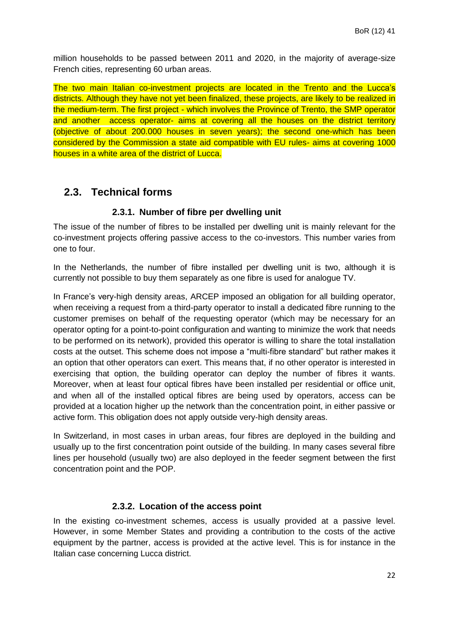million households to be passed between 2011 and 2020, in the majority of average-size French cities, representing 60 urban areas.

The two main Italian co-investment projects are located in the Trento and the Lucca's districts. Although they have not yet been finalized, these projects, are likely to be realized in the medium-term. The first project - which involves the Province of Trento, the SMP operator and another access operator- aims at covering all the houses on the district territory (objective of about 200.000 houses in seven years); the second one-which has been considered by the Commission a state aid compatible with EU rules- aims at covering 1000 houses in a white area of the district of Lucca.

## <span id="page-21-0"></span>**2.3. Technical forms**

#### **2.3.1. Number of fibre per dwelling unit**

<span id="page-21-1"></span>The issue of the number of fibres to be installed per dwelling unit is mainly relevant for the co-investment projects offering passive access to the co-investors. This number varies from one to four.

In the Netherlands, the number of fibre installed per dwelling unit is two, although it is currently not possible to buy them separately as one fibre is used for analogue TV.

In France's very-high density areas, ARCEP imposed an obligation for all building operator, when receiving a request from a third-party operator to install a dedicated fibre running to the customer premises on behalf of the requesting operator (which may be necessary for an operator opting for a point-to-point configuration and wanting to minimize the work that needs to be performed on its network), provided this operator is willing to share the total installation costs at the outset. This scheme does not impose a "multi-fibre standard" but rather makes it an option that other operators can exert. This means that, if no other operator is interested in exercising that option, the building operator can deploy the number of fibres it wants. Moreover, when at least four optical fibres have been installed per residential or office unit, and when all of the installed optical fibres are being used by operators, access can be provided at a location higher up the network than the concentration point, in either passive or active form. This obligation does not apply outside very-high density areas.

In Switzerland, in most cases in urban areas, four fibres are deployed in the building and usually up to the first concentration point outside of the building. In many cases several fibre lines per household (usually two) are also deployed in the feeder segment between the first concentration point and the POP.

#### **2.3.2. Location of the access point**

<span id="page-21-2"></span>In the existing co-investment schemes, access is usually provided at a passive level. However, in some Member States and providing a contribution to the costs of the active equipment by the partner, access is provided at the active level. This is for instance in the Italian case concerning Lucca district.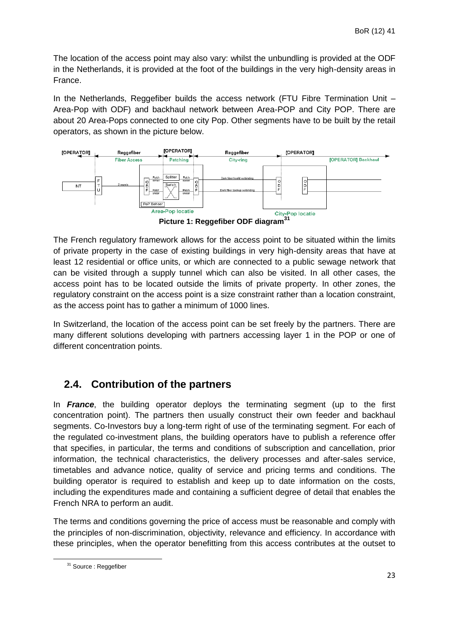The location of the access point may also vary: whilst the unbundling is provided at the ODF in the Netherlands, it is provided at the foot of the buildings in the very high-density areas in France.

In the Netherlands, Reggefiber builds the access network (FTU Fibre Termination Unit – Area-Pop with ODF) and backhaul network between Area-POP and City POP. There are about 20 Area-Pops connected to one city Pop. Other segments have to be built by the retail operators, as shown in the picture below.



The French regulatory framework allows for the access point to be situated within the limits of private property in the case of existing buildings in very high-density areas that have at least 12 residential or office units, or which are connected to a public sewage network that can be visited through a supply tunnel which can also be visited. In all other cases, the access point has to be located outside the limits of private property. In other zones, the regulatory constraint on the access point is a size constraint rather than a location constraint, as the access point has to gather a minimum of 1000 lines.

In Switzerland, the location of the access point can be set freely by the partners. There are many different solutions developing with partners accessing layer 1 in the POP or one of different concentration points.

## <span id="page-22-0"></span>**2.4. Contribution of the partners**

In *France*, the building operator deploys the terminating segment (up to the first concentration point). The partners then usually construct their own feeder and backhaul segments. Co-Investors buy a long-term right of use of the terminating segment. For each of the regulated co-investment plans, the building operators have to publish a reference offer that specifies, in particular, the terms and conditions of subscription and cancellation, prior information, the technical characteristics, the delivery processes and after-sales service, timetables and advance notice, quality of service and pricing terms and conditions. The building operator is required to establish and keep up to date information on the costs, including the expenditures made and containing a sufficient degree of detail that enables the French NRA to perform an audit.

The terms and conditions governing the price of access must be reasonable and comply with the principles of non-discrimination, objectivity, relevance and efficiency. In accordance with these principles, when the operator benefitting from this access contributes at the outset to

<sup>&</sup>lt;sup>31</sup> Source : Reggefiber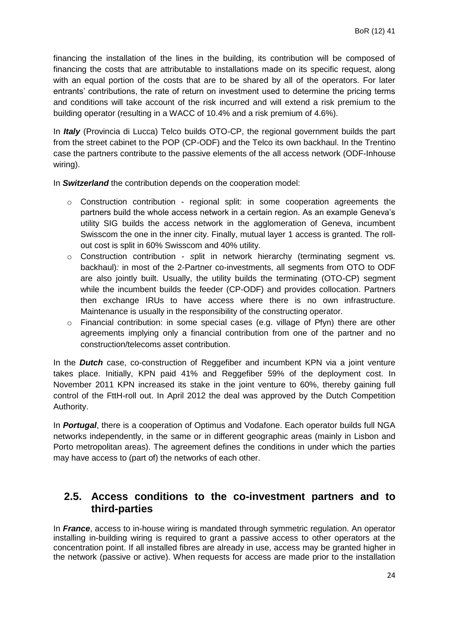financing the installation of the lines in the building, its contribution will be composed of financing the costs that are attributable to installations made on its specific request, along with an equal portion of the costs that are to be shared by all of the operators. For later entrants' contributions, the rate of return on investment used to determine the pricing terms and conditions will take account of the risk incurred and will extend a risk premium to the building operator (resulting in a WACC of 10.4% and a risk premium of 4.6%).

In *Italy* (Provincia di Lucca) Telco builds OTO-CP, the regional government builds the part from the street cabinet to the POP (CP-ODF) and the Telco its own backhaul. In the Trentino case the partners contribute to the passive elements of the all access network (ODF-Inhouse wiring).

In *Switzerland* the contribution depends on the cooperation model:

- o Construction contribution regional split: in some cooperation agreements the partners build the whole access network in a certain region. As an example Geneva's utility SIG builds the access network in the agglomeration of Geneva, incumbent Swisscom the one in the inner city. Finally, mutual layer 1 access is granted. The rollout cost is split in 60% Swisscom and 40% utility.
- o Construction contribution *s*plit in network hierarchy (terminating segment vs. backhaul)*:* in most of the 2-Partner co-investments, all segments from OTO to ODF are also jointly built. Usually, the utility builds the terminating (OTO-CP) segment while the incumbent builds the feeder (CP-ODF) and provides collocation. Partners then exchange IRUs to have access where there is no own infrastructure. Maintenance is usually in the responsibility of the constructing operator.
- o Financial contribution: in some special cases (e.g. village of Pfyn) there are other agreements implying only a financial contribution from one of the partner and no construction/telecoms asset contribution.

In the *Dutch* case, co-construction of Reggefiber and incumbent KPN via a joint venture takes place. Initially, KPN paid 41% and Reggefiber 59% of the deployment cost. In November 2011 KPN increased its stake in the joint venture to 60%, thereby gaining full control of the FttH-roll out. In April 2012 the deal was approved by the Dutch Competition Authority.

In *Portugal*, there is a cooperation of Optimus and Vodafone. Each operator builds full NGA networks independently, in the same or in different geographic areas (mainly in Lisbon and Porto metropolitan areas). The agreement defines the conditions in under which the parties may have access to (part of) the networks of each other.

## <span id="page-23-0"></span>**2.5. Access conditions to the co-investment partners and to third-parties**

In *France*, access to in-house wiring is mandated through symmetric regulation. An operator installing in-building wiring is required to grant a passive access to other operators at the concentration point. If all installed fibres are already in use, access may be granted higher in the network (passive or active). When requests for access are made prior to the installation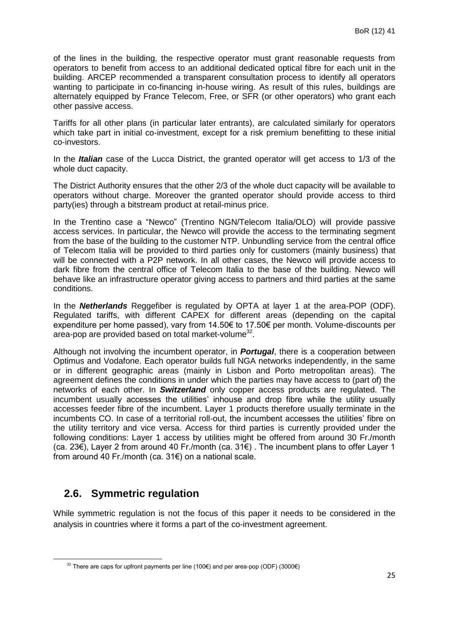of the lines in the building, the respective operator must grant reasonable requests from operators to benefit from access to an additional dedicated optical fibre for each unit in the building. ARCEP recommended a transparent consultation process to identify all operators wanting to participate in co-financing in-house wiring. As result of this rules, buildings are alternately equipped by France Telecom, Free, or SFR (or other operators) who grant each other passive access.

Tariffs for all other plans (in particular later entrants), are calculated similarly for operators which take part in initial co-investment, except for a risk premium benefitting to these initial co-investors.

In the *Italian* case of the Lucca District, the granted operator will get access to 1/3 of the whole duct capacity.

The District Authority ensures that the other 2/3 of the whole duct capacity will be available to operators without charge. Moreover the granted operator should provide access to third party(ies) through a bitstream product at retail-minus price.

In the Trentino case a "Newco" (Trentino NGN/Telecom Italia/OLO) will provide passive access services. In particular, the Newco will provide the access to the terminating segment from the base of the building to the customer NTP. Unbundling service from the central office of Telecom Italia will be provided to third parties only for customers (mainly business) that will be connected with a P2P network. In all other cases, the Newco will provide access to dark fibre from the central office of Telecom Italia to the base of the building. Newco will behave like an infrastructure operator giving access to partners and third parties at the same conditions.

In the *Netherlands* Reggefiber is regulated by OPTA at layer 1 at the area-POP (ODF). Regulated tariffs, with different CAPEX for different areas (depending on the capital expenditure per home passed), vary from 14.50€ to 17.50€ per month. Volume-discounts per area-pop are provided based on total market-volume<sup>32</sup>.

Although not involving the incumbent operator, in *Portugal*, there is a cooperation between Optimus and Vodafone. Each operator builds full NGA networks independently, in the same or in different geographic areas (mainly in Lisbon and Porto metropolitan areas). The agreement defines the conditions in under which the parties may have access to (part of) the networks of each other. In *Switzerland* only copper access products are regulated. The incumbent usually accesses the utilities' inhouse and drop fibre while the utility usually accesses feeder fibre of the incumbent. Layer 1 products therefore usually terminate in the incumbents CO. In case of a territorial roll-out, the incumbent accesses the utilities' fibre on the utility territory and vice versa. Access for third parties is currently provided under the following conditions: Layer 1 access by utilities might be offered from around 30 Fr./month (ca. 23€), Layer 2 from around 40 Fr./month (ca. 31€) . The incumbent plans to offer Layer 1 from around 40 Fr./month (ca. 31€) on a national scale.

## <span id="page-24-0"></span>**2.6. Symmetric regulation**

**.** 

While symmetric regulation is not the focus of this paper it needs to be considered in the analysis in countries where it forms a part of the co-investment agreement.

 $32$  There are caps for upfront payments per line (100€) and per area-pop (ODF) (3000€)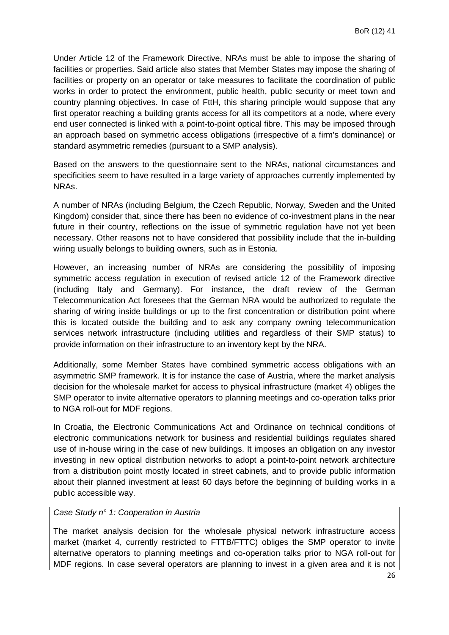Under Article 12 of the Framework Directive, NRAs must be able to impose the sharing of facilities or properties. Said article also states that Member States may impose the sharing of facilities or property on an operator or take measures to facilitate the coordination of public works in order to protect the environment, public health, public security or meet town and country planning objectives. In case of FttH, this sharing principle would suppose that any first operator reaching a building grants access for all its competitors at a node, where every end user connected is linked with a point-to-point optical fibre. This may be imposed through an approach based on symmetric access obligations (irrespective of a firm's dominance) or standard asymmetric remedies (pursuant to a SMP analysis).

Based on the answers to the questionnaire sent to the NRAs, national circumstances and specificities seem to have resulted in a large variety of approaches currently implemented by NRAs.

A number of NRAs (including Belgium, the Czech Republic, Norway, Sweden and the United Kingdom) consider that, since there has been no evidence of co-investment plans in the near future in their country, reflections on the issue of symmetric regulation have not yet been necessary. Other reasons not to have considered that possibility include that the in-building wiring usually belongs to building owners, such as in Estonia.

However, an increasing number of NRAs are considering the possibility of imposing symmetric access regulation in execution of revised article 12 of the Framework directive (including Italy and Germany). For instance, the draft review of the German Telecommunication Act foresees that the German NRA would be authorized to regulate the sharing of wiring inside buildings or up to the first concentration or distribution point where this is located outside the building and to ask any company owning telecommunication services network infrastructure (including utilities and regardless of their SMP status) to provide information on their infrastructure to an inventory kept by the NRA.

Additionally, some Member States have combined symmetric access obligations with an asymmetric SMP framework. It is for instance the case of Austria, where the market analysis decision for the wholesale market for access to physical infrastructure (market 4) obliges the SMP operator to invite alternative operators to planning meetings and co-operation talks prior to NGA roll-out for MDF regions.

In Croatia, the Electronic Communications Act and Ordinance on technical conditions of electronic communications network for business and residential buildings regulates shared use of in-house wiring in the case of new buildings. It imposes an obligation on any investor investing in new optical distribution networks to adopt a point-to-point network architecture from a distribution point mostly located in street cabinets, and to provide public information about their planned investment at least 60 days before the beginning of building works in a public accessible way.

#### *Case Study n° 1: Cooperation in Austria*

The market analysis decision for the wholesale physical network infrastructure access market (market 4, currently restricted to FTTB/FTTC) obliges the SMP operator to invite alternative operators to planning meetings and co-operation talks prior to NGA roll-out for MDF regions. In case several operators are planning to invest in a given area and it is not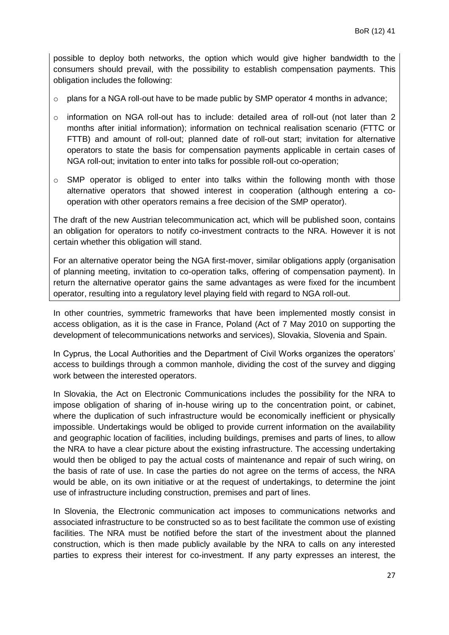possible to deploy both networks, the option which would give higher bandwidth to the consumers should prevail, with the possibility to establish compensation payments. This obligation includes the following:

- $\circ$  plans for a NGA roll-out have to be made public by SMP operator 4 months in advance;
- o information on NGA roll-out has to include: detailed area of roll-out (not later than 2 months after initial information); information on technical realisation scenario (FTTC or FTTB) and amount of roll-out; planned date of roll-out start; invitation for alternative operators to state the basis for compensation payments applicable in certain cases of NGA roll-out; invitation to enter into talks for possible roll-out co-operation;
- $\circ$  SMP operator is obliged to enter into talks within the following month with those alternative operators that showed interest in cooperation (although entering a cooperation with other operators remains a free decision of the SMP operator).

The draft of the new Austrian telecommunication act, which will be published soon, contains an obligation for operators to notify co-investment contracts to the NRA. However it is not certain whether this obligation will stand.

For an alternative operator being the NGA first-mover, similar obligations apply (organisation of planning meeting, invitation to co-operation talks, offering of compensation payment). In return the alternative operator gains the same advantages as were fixed for the incumbent operator, resulting into a regulatory level playing field with regard to NGA roll-out.

In other countries, symmetric frameworks that have been implemented mostly consist in access obligation, as it is the case in France, Poland (Act of 7 May 2010 on supporting the development of telecommunications networks and services), Slovakia, Slovenia and Spain.

In Cyprus, the Local Authorities and the Department of Civil Works organizes the operators' access to buildings through a common manhole, dividing the cost of the survey and digging work between the interested operators.

In Slovakia, the Act on Electronic Communications includes the possibility for the NRA to impose obligation of sharing of in-house wiring up to the concentration point, or cabinet, where the duplication of such infrastructure would be economically inefficient or physically impossible. Undertakings would be obliged to provide current information on the availability and geographic location of facilities, including buildings, premises and parts of lines, to allow the NRA to have a clear picture about the existing infrastructure. The accessing undertaking would then be obliged to pay the actual costs of maintenance and repair of such wiring, on the basis of rate of use. In case the parties do not agree on the terms of access, the NRA would be able, on its own initiative or at the request of undertakings, to determine the joint use of infrastructure including construction, premises and part of lines.

In Slovenia, the Electronic communication act imposes to communications networks and associated infrastructure to be constructed so as to best facilitate the common use of existing facilities. The NRA must be notified before the start of the investment about the planned construction, which is then made publicly available by the NRA to calls on any interested parties to express their interest for co-investment. If any party expresses an interest, the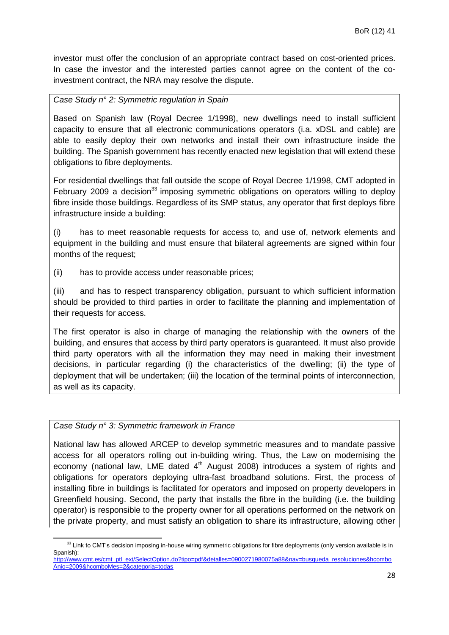investor must offer the conclusion of an appropriate contract based on cost-oriented prices. In case the investor and the interested parties cannot agree on the content of the coinvestment contract, the NRA may resolve the dispute.

#### *Case Study n° 2: Symmetric regulation in Spain*

Based on Spanish law (Royal Decree 1/1998), new dwellings need to install sufficient capacity to ensure that all electronic communications operators (i.a. xDSL and cable) are able to easily deploy their own networks and install their own infrastructure inside the building. The Spanish government has recently enacted new legislation that will extend these obligations to fibre deployments.

For residential dwellings that fall outside the scope of Royal Decree 1/1998, CMT adopted in February 2009 a decision<sup>33</sup> imposing symmetric obligations on operators willing to deploy fibre inside those buildings. Regardless of its SMP status, any operator that first deploys fibre infrastructure inside a building:

(i) has to meet reasonable requests for access to, and use of, network elements and equipment in the building and must ensure that bilateral agreements are signed within four months of the request;

(ii) has to provide access under reasonable prices;

(iii) and has to respect transparency obligation, pursuant to which sufficient information should be provided to third parties in order to facilitate the planning and implementation of their requests for access.

The first operator is also in charge of managing the relationship with the owners of the building, and ensures that access by third party operators is guaranteed. It must also provide third party operators with all the information they may need in making their investment decisions, in particular regarding (i) the characteristics of the dwelling; (ii) the type of deployment that will be undertaken; (iii) the location of the terminal points of interconnection, as well as its capacity.

#### *Case Study n° 3: Symmetric framework in France*

**.** 

National law has allowed ARCEP to develop symmetric measures and to mandate passive access for all operators rolling out in-building wiring. Thus, the Law on modernising the economy (national law, LME dated  $4<sup>th</sup>$  August 2008) introduces a system of rights and obligations for operators deploying ultra-fast broadband solutions. First, the process of installing fibre in buildings is facilitated for operators and imposed on property developers in Greenfield housing. Second, the party that installs the fibre in the building (i.e. the building operator) is responsible to the property owner for all operations performed on the network on the private property, and must satisfy an obligation to share its infrastructure, allowing other

<sup>&</sup>lt;sup>33</sup> Link to CMT's decision imposing in-house wiring symmetric obligations for fibre deployments (only version available is in Spanish): [http://www.cmt.es/cmt\\_ptl\\_ext/SelectOption.do?tipo=pdf&detalles=0900271980075a88&nav=busqueda\\_resoluciones&hcombo](http://www.cmt.es/cmt_ptl_ext/SelectOption.do?tipo=pdf&detalles=0900271980075a88&nav=busqueda_resoluciones&hcomboAnio=2009&hcomboMes=2&categoria=todas)

[Anio=2009&hcomboMes=2&categoria=todas](http://www.cmt.es/cmt_ptl_ext/SelectOption.do?tipo=pdf&detalles=0900271980075a88&nav=busqueda_resoluciones&hcomboAnio=2009&hcomboMes=2&categoria=todas)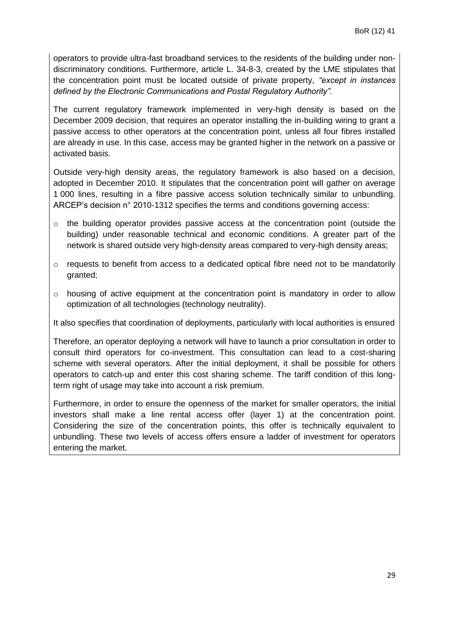operators to provide ultra-fast broadband services to the residents of the building under nondiscriminatory conditions. Furthermore, article L. 34-8-3, created by the LME stipulates that the concentration point must be located outside of private property, *"except in instances defined by the Electronic Communications and Postal Regulatory Authority".*

The current regulatory framework implemented in very-high density is based on the December 2009 decision, that requires an operator installing the in-building wiring to grant a passive access to other operators at the concentration point, unless all four fibres installed are already in use. In this case, access may be granted higher in the network on a passive or activated basis.

Outside very-high density areas, the regulatory framework is also based on a decision, adopted in December 2010. It stipulates that the concentration point will gather on average 1 000 lines, resulting in a fibre passive access solution technically similar to unbundling. ARCEP's decision n° 2010-1312 specifies the terms and conditions governing access:

- $\circ$  the building operator provides passive access at the concentration point (outside the building) under reasonable technical and economic conditions. A greater part of the network is shared outside very high-density areas compared to very-high density areas;
- $\circ$  requests to benefit from access to a dedicated optical fibre need not to be mandatorily granted;
- $\circ$  housing of active equipment at the concentration point is mandatory in order to allow optimization of all technologies (technology neutrality).

It also specifies that coordination of deployments, particularly with local authorities is ensured

Therefore, an operator deploying a network will have to launch a prior consultation in order to consult third operators for co-investment. This consultation can lead to a cost-sharing scheme with several operators. After the initial deployment, it shall be possible for others operators to catch-up and enter this cost sharing scheme. The tariff condition of this longterm right of usage may take into account a risk premium.

Furthermore, in order to ensure the openness of the market for smaller operators, the initial investors shall make a line rental access offer (layer 1) at the concentration point. Considering the size of the concentration points, this offer is technically equivalent to unbundling. These two levels of access offers ensure a ladder of investment for operators entering the market.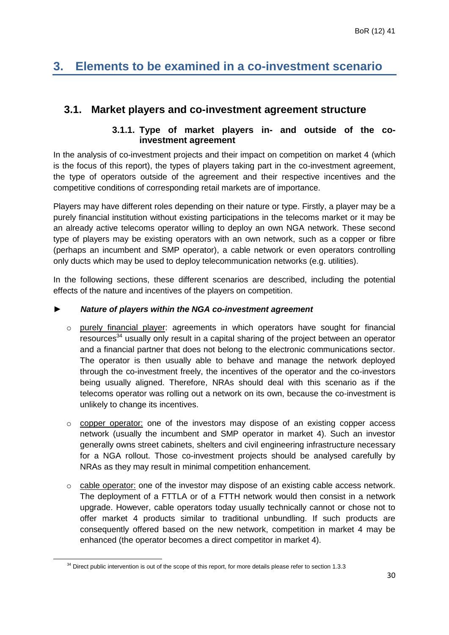## <span id="page-29-0"></span>**3. Elements to be examined in a co-investment scenario**

### <span id="page-29-2"></span><span id="page-29-1"></span>**3.1. Market players and co-investment agreement structure**

#### **3.1.1. Type of market players in- and outside of the coinvestment agreement**

In the analysis of co-investment projects and their impact on competition on market 4 (which is the focus of this report), the types of players taking part in the co-investment agreement, the type of operators outside of the agreement and their respective incentives and the competitive conditions of corresponding retail markets are of importance.

Players may have different roles depending on their nature or type. Firstly, a player may be a purely financial institution without existing participations in the telecoms market or it may be an already active telecoms operator willing to deploy an own NGA network. These second type of players may be existing operators with an own network, such as a copper or fibre (perhaps an incumbent and SMP operator), a cable network or even operators controlling only ducts which may be used to deploy telecommunication networks (e.g. utilities).

In the following sections, these different scenarios are described, including the potential effects of the nature and incentives of the players on competition.

#### ► *Nature of players within the NGA co-investment agreement*

- $\circ$  purely financial player: agreements in which operators have sought for financial resources<sup>34</sup> usually only result in a capital sharing of the project between an operator and a financial partner that does not belong to the electronic communications sector. The operator is then usually able to behave and manage the network deployed through the co-investment freely, the incentives of the operator and the co-investors being usually aligned. Therefore, NRAs should deal with this scenario as if the telecoms operator was rolling out a network on its own, because the co-investment is unlikely to change its incentives.
- o copper operator: one of the investors may dispose of an existing copper access network (usually the incumbent and SMP operator in market 4). Such an investor generally owns street cabinets, shelters and civil engineering infrastructure necessary for a NGA rollout. Those co-investment projects should be analysed carefully by NRAs as they may result in minimal competition enhancement.
- $\circ$  cable operator: one of the investor may dispose of an existing cable access network. The deployment of a FTTLA or of a FTTH network would then consist in a network upgrade. However, cable operators today usually technically cannot or chose not to offer market 4 products similar to traditional unbundling. If such products are consequently offered based on the new network, competition in market 4 may be enhanced (the operator becomes a direct competitor in market 4).

 $34$  Direct public intervention is out of the scope of this report, for more details please refer to section 1.3.3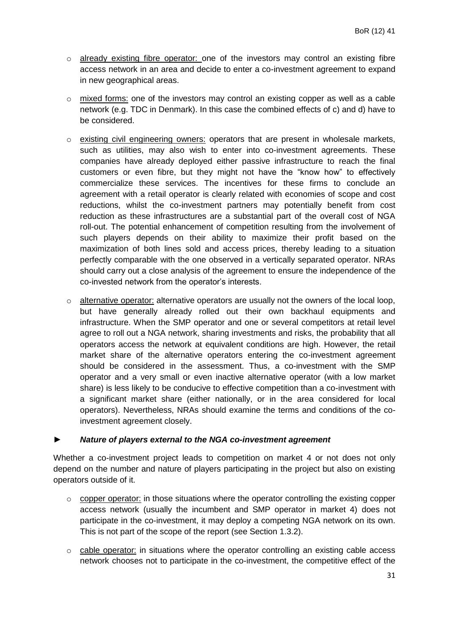- o already existing fibre operator: one of the investors may control an existing fibre access network in an area and decide to enter a co-investment agreement to expand in new geographical areas.
- $\circ$  mixed forms: one of the investors may control an existing copper as well as a cable network (e.g. TDC in Denmark). In this case the combined effects of c) and d) have to be considered.
- $\circ$  existing civil engineering owners: operators that are present in wholesale markets, such as utilities, may also wish to enter into co-investment agreements. These companies have already deployed either passive infrastructure to reach the final customers or even fibre, but they might not have the "know how" to effectively commercialize these services. The incentives for these firms to conclude an agreement with a retail operator is clearly related with economies of scope and cost reductions, whilst the co-investment partners may potentially benefit from cost reduction as these infrastructures are a substantial part of the overall cost of NGA roll-out. The potential enhancement of competition resulting from the involvement of such players depends on their ability to maximize their profit based on the maximization of both lines sold and access prices, thereby leading to a situation perfectly comparable with the one observed in a vertically separated operator. NRAs should carry out a close analysis of the agreement to ensure the independence of the co-invested network from the operator's interests.
- $\circ$  alternative operator: alternative operators are usually not the owners of the local loop, but have generally already rolled out their own backhaul equipments and infrastructure. When the SMP operator and one or several competitors at retail level agree to roll out a NGA network, sharing investments and risks, the probability that all operators access the network at equivalent conditions are high. However, the retail market share of the alternative operators entering the co-investment agreement should be considered in the assessment. Thus, a co-investment with the SMP operator and a very small or even inactive alternative operator (with a low market share) is less likely to be conducive to effective competition than a co-investment with a significant market share (either nationally, or in the area considered for local operators). Nevertheless, NRAs should examine the terms and conditions of the coinvestment agreement closely.

#### ► *Nature of players external to the NGA co-investment agreement*

Whether a co-investment project leads to competition on market 4 or not does not only depend on the number and nature of players participating in the project but also on existing operators outside of it.

- o copper operator: in those situations where the operator controlling the existing copper access network (usually the incumbent and SMP operator in market 4) does not participate in the co-investment, it may deploy a competing NGA network on its own. This is not part of the scope of the report (see Section 1.3.2).
- $\circ$  cable operator: in situations where the operator controlling an existing cable access network chooses not to participate in the co-investment, the competitive effect of the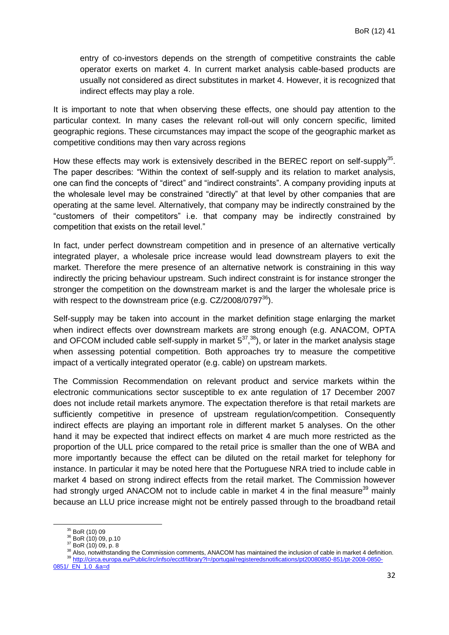entry of co-investors depends on the strength of competitive constraints the cable operator exerts on market 4. In current market analysis cable-based products are usually not considered as direct substitutes in market 4. However, it is recognized that indirect effects may play a role.

It is important to note that when observing these effects, one should pay attention to the particular context. In many cases the relevant roll-out will only concern specific, limited geographic regions. These circumstances may impact the scope of the geographic market as competitive conditions may then vary across regions

How these effects may work is extensively described in the BEREC report on self-supply<sup>35</sup>. The paper describes: "Within the context of self-supply and its relation to market analysis, one can find the concepts of "direct" and "indirect constraints". A company providing inputs at the wholesale level may be constrained "directly" at that level by other companies that are operating at the same level. Alternatively, that company may be indirectly constrained by the "customers of their competitors" i.e. that company may be indirectly constrained by competition that exists on the retail level."

In fact, under perfect downstream competition and in presence of an alternative vertically integrated player, a wholesale price increase would lead downstream players to exit the market. Therefore the mere presence of an alternative network is constraining in this way indirectly the pricing behaviour upstream. Such indirect constraint is for instance stronger the stronger the competition on the downstream market is and the larger the wholesale price is with respect to the downstream price (e.g.  $CZ/2008/0797^{36}$ ).

Self-supply may be taken into account in the market definition stage enlarging the market when indirect effects over downstream markets are strong enough (e.g. ANACOM, OPTA and OFCOM included cable self-supply in market  $5^{37}$ ,  $3^{8}$ ), or later in the market analysis stage when assessing potential competition. Both approaches try to measure the competitive impact of a vertically integrated operator (e.g. cable) on upstream markets.

The Commission Recommendation on relevant product and service markets within the electronic communications sector susceptible to ex ante regulation of 17 December 2007 does not include retail markets anymore. The expectation therefore is that retail markets are sufficiently competitive in presence of upstream regulation/competition. Consequently indirect effects are playing an important role in different market 5 analyses. On the other hand it may be expected that indirect effects on market 4 are much more restricted as the proportion of the ULL price compared to the retail price is smaller than the one of WBA and more importantly because the effect can be diluted on the retail market for telephony for instance. In particular it may be noted here that the Portuguese NRA tried to include cable in market 4 based on strong indirect effects from the retail market. The Commission however had strongly urged ANACOM not to include cable in market 4 in the final measure<sup>39</sup> mainly because an LLU price increase might not be entirely passed through to the broadband retail

<sup>35</sup> BoR (10) 09

<sup>36</sup> BoR (10) 09, p.10

 $37$  BoR (10) 09, p. 8

<sup>38</sup> Also, notwithstanding the Commission comments, ANACOM has maintained the inclusion of cable in market 4 definition. <sup>39</sup> [http://circa.europa.eu/Public/irc/infso/ecctf/library?l=/portugal/registeredsnotifications/pt20080850-851/pt-2008-0850-](http://circa.europa.eu/Public/irc/infso/ecctf/library?l=/portugal/registeredsnotifications/pt20080850-851/pt-2008-0850-0851/_EN_1.0_&a=d)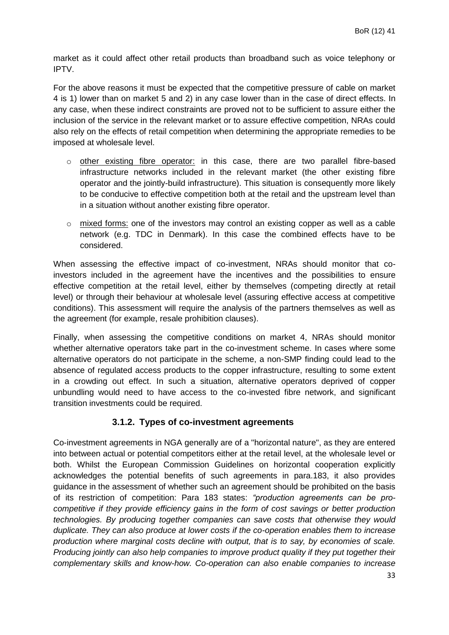market as it could affect other retail products than broadband such as voice telephony or IPTV.

For the above reasons it must be expected that the competitive pressure of cable on market 4 is 1) lower than on market 5 and 2) in any case lower than in the case of direct effects. In any case, when these indirect constraints are proved not to be sufficient to assure either the inclusion of the service in the relevant market or to assure effective competition, NRAs could also rely on the effects of retail competition when determining the appropriate remedies to be imposed at wholesale level.

- o other existing fibre operator: in this case, there are two parallel fibre-based infrastructure networks included in the relevant market (the other existing fibre operator and the jointly-build infrastructure). This situation is consequently more likely to be conducive to effective competition both at the retail and the upstream level than in a situation without another existing fibre operator.
- $\circ$  mixed forms: one of the investors may control an existing copper as well as a cable network (e.g. TDC in Denmark). In this case the combined effects have to be considered.

When assessing the effective impact of co-investment, NRAs should monitor that coinvestors included in the agreement have the incentives and the possibilities to ensure effective competition at the retail level, either by themselves (competing directly at retail level) or through their behaviour at wholesale level (assuring effective access at competitive conditions). This assessment will require the analysis of the partners themselves as well as the agreement (for example, resale prohibition clauses).

Finally, when assessing the competitive conditions on market 4, NRAs should monitor whether alternative operators take part in the co-investment scheme. In cases where some alternative operators do not participate in the scheme, a non-SMP finding could lead to the absence of regulated access products to the copper infrastructure, resulting to some extent in a crowding out effect. In such a situation, alternative operators deprived of copper unbundling would need to have access to the co-invested fibre network, and significant transition investments could be required.

#### **3.1.2. Types of co-investment agreements**

<span id="page-32-0"></span>Co-investment agreements in NGA generally are of a "horizontal nature", as they are entered into between actual or potential competitors either at the retail level, at the wholesale level or both. Whilst the European Commission Guidelines on horizontal cooperation explicitly acknowledges the potential benefits of such agreements in para.183, it also provides guidance in the assessment of whether such an agreement should be prohibited on the basis of its restriction of competition: Para 183 states: *"production agreements can be procompetitive if they provide efficiency gains in the form of cost savings or better production technologies. By producing together companies can save costs that otherwise they would duplicate. They can also produce at lower costs if the co-operation enables them to increase production where marginal costs decline with output, that is to say, by economies of scale. Producing jointly can also help companies to improve product quality if they put together their complementary skills and know-how. Co-operation can also enable companies to increase*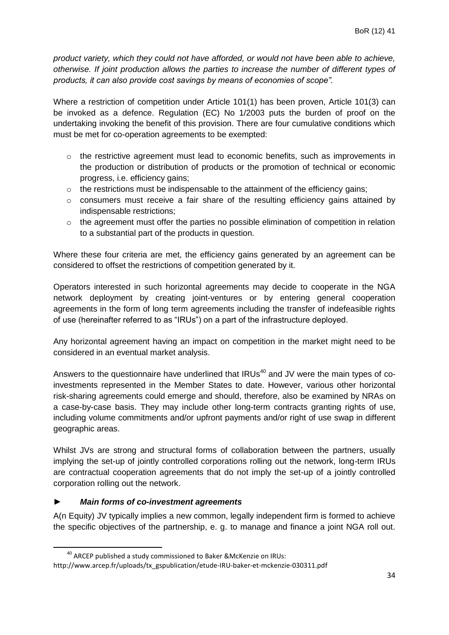*product variety, which they could not have afforded, or would not have been able to achieve, otherwise. If joint production allows the parties to increase the number of different types of products, it can also provide cost savings by means of economies of scope".*

Where a restriction of competition under Article 101(1) has been proven, Article 101(3) can be invoked as a defence. Regulation (EC) No 1/2003 puts the burden of proof on the undertaking invoking the benefit of this provision. There are four cumulative conditions which must be met for co-operation agreements to be exempted:

- $\circ$  the restrictive agreement must lead to economic benefits, such as improvements in the production or distribution of products or the promotion of technical or economic progress, i.e. efficiency gains;
- $\circ$  the restrictions must be indispensable to the attainment of the efficiency gains;
- o consumers must receive a fair share of the resulting efficiency gains attained by indispensable restrictions;
- $\circ$  the agreement must offer the parties no possible elimination of competition in relation to a substantial part of the products in question.

Where these four criteria are met, the efficiency gains generated by an agreement can be considered to offset the restrictions of competition generated by it.

Operators interested in such horizontal agreements may decide to cooperate in the NGA network deployment by creating joint-ventures or by entering general cooperation agreements in the form of long term agreements including the transfer of indefeasible rights of use (hereinafter referred to as "IRUs") on a part of the infrastructure deployed.

Any horizontal agreement having an impact on competition in the market might need to be considered in an eventual market analysis.

Answers to the questionnaire have underlined that  $IRUs<sup>40</sup>$  and JV were the main types of coinvestments represented in the Member States to date. However, various other horizontal risk-sharing agreements could emerge and should, therefore, also be examined by NRAs on a case-by-case basis. They may include other long-term contracts granting rights of use, including volume commitments and/or upfront payments and/or right of use swap in different geographic areas.

Whilst JVs are strong and structural forms of collaboration between the partners, usually implying the set-up of jointly controlled corporations rolling out the network, long-term IRUs are contractual cooperation agreements that do not imply the set-up of a jointly controlled corporation rolling out the network.

#### ► *Main forms of co-investment agreements*

**.** 

A(n Equity) JV typically implies a new common, legally independent firm is formed to achieve the specific objectives of the partnership, e. g. to manage and finance a joint NGA roll out.

<sup>40</sup> ARCEP published a study commissioned to Baker &McKenzie on IRUs: http://www.arcep.fr/uploads/tx\_gspublication/etude-IRU-baker-et-mckenzie-030311.pdf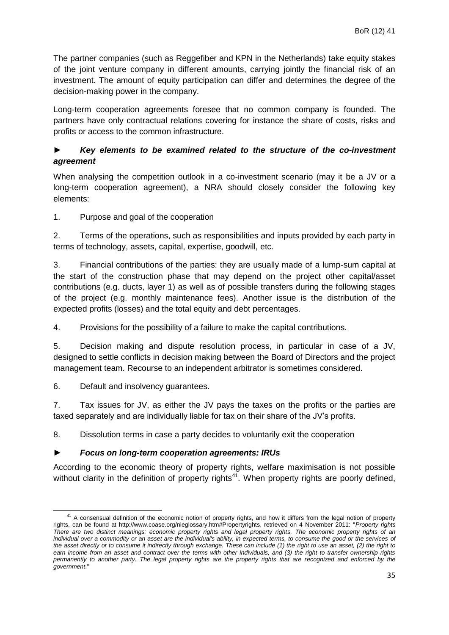The partner companies (such as Reggefiber and KPN in the Netherlands) take equity stakes of the joint venture company in different amounts, carrying jointly the financial risk of an investment. The amount of equity participation can differ and determines the degree of the decision-making power in the company.

Long-term cooperation agreements foresee that no common company is founded. The partners have only contractual relations covering for instance the share of costs, risks and profits or access to the common infrastructure.

#### ► *Key elements to be examined related to the structure of the co-investment agreement*

When analysing the competition outlook in a co-investment scenario (may it be a JV or a long-term cooperation agreement), a NRA should closely consider the following key elements:

1. Purpose and goal of the cooperation

2. Terms of the operations, such as responsibilities and inputs provided by each party in terms of technology, assets, capital, expertise, goodwill, etc.

3. Financial contributions of the parties: they are usually made of a lump-sum capital at the start of the construction phase that may depend on the project other capital/asset contributions (e.g. ducts, layer 1) as well as of possible transfers during the following stages of the project (e.g. monthly maintenance fees). Another issue is the distribution of the expected profits (losses) and the total equity and debt percentages.

4. Provisions for the possibility of a failure to make the capital contributions.

5. Decision making and dispute resolution process, in particular in case of a JV, designed to settle conflicts in decision making between the Board of Directors and the project management team. Recourse to an independent arbitrator is sometimes considered.

6. Default and insolvency guarantees.

7. Tax issues for JV, as either the JV pays the taxes on the profits or the parties are taxed separately and are individually liable for tax on their share of the JV's profits.

8. Dissolution terms in case a party decides to voluntarily exit the cooperation

#### ► *Focus on long-term cooperation agreements: IRUs*

According to the economic theory of property rights, welfare maximisation is not possible without clarity in the definition of property rights<sup>41</sup>. When property rights are poorly defined,

**<sup>.</sup>** <sup>41</sup> A consensual definition of the economic notion of property rights, and how it differs from the legal notion of property rights, can be found at http://www.coase.org/nieglossary.htm#Propertyrights, retrieved on 4 November 2011: "*Property rights There are two distinct meanings: economic property rights and legal property rights. The economic property rights of an individual over a commodity or an asset are the individual's ability, in expected terms, to consume the good or the services of the asset directly or to consume it indirectly through exchange. These can include (1) the right to use an asset, (2) the right to*  earn income from an asset and contract over the terms with other individuals, and (3) the right to transfer ownership rights *permanently to another party. The legal property rights are the property rights that are recognized and enforced by the government*."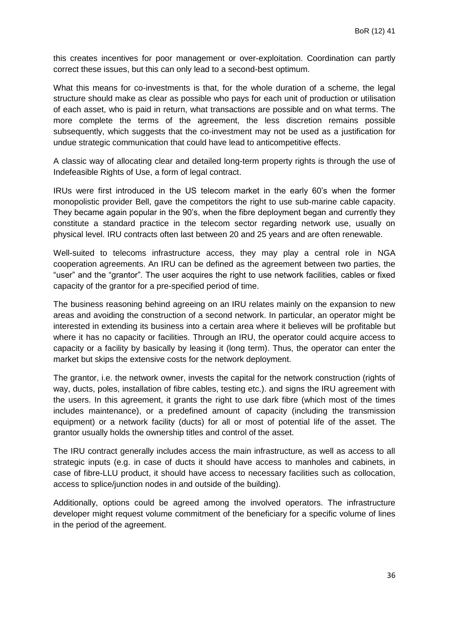this creates incentives for poor management or over-exploitation. Coordination can partly correct these issues, but this can only lead to a second-best optimum.

What this means for co-investments is that, for the whole duration of a scheme, the legal structure should make as clear as possible who pays for each unit of production or utilisation of each asset, who is paid in return, what transactions are possible and on what terms. The more complete the terms of the agreement, the less discretion remains possible subsequently, which suggests that the co-investment may not be used as a justification for undue strategic communication that could have lead to anticompetitive effects.

A classic way of allocating clear and detailed long-term property rights is through the use of Indefeasible Rights of Use, a form of legal contract.

IRUs were first introduced in the US telecom market in the early 60's when the former monopolistic provider Bell, gave the competitors the right to use sub-marine cable capacity. They became again popular in the 90's, when the fibre deployment began and currently they constitute a standard practice in the telecom sector regarding network use, usually on physical level. IRU contracts often last between 20 and 25 years and are often renewable.

Well-suited to telecoms infrastructure access, they may play a central role in NGA cooperation agreements. An IRU can be defined as the agreement between two parties, the "user" and the "grantor". The user acquires the right to use network facilities, cables or fixed capacity of the grantor for a pre-specified period of time.

The business reasoning behind agreeing on an IRU relates mainly on the expansion to new areas and avoiding the construction of a second network. In particular, an operator might be interested in extending its business into a certain area where it believes will be profitable but where it has no capacity or facilities. Through an IRU, the operator could acquire access to capacity or a facility by basically by leasing it (long term). Thus, the operator can enter the market but skips the extensive costs for the network deployment.

The grantor, i.e. the network owner, invests the capital for the network construction (rights of way, ducts, poles, installation of fibre cables, testing etc.). and signs the IRU agreement with the users. In this agreement, it grants the right to use dark fibre (which most of the times includes maintenance), or a predefined amount of capacity (including the transmission equipment) or a network facility (ducts) for all or most of potential life of the asset. The grantor usually holds the ownership titles and control of the asset.

The IRU contract generally includes access the main infrastructure, as well as access to all strategic inputs (e.g. in case of ducts it should have access to manholes and cabinets, in case of fibre-LLU product, it should have access to necessary facilities such as collocation, access to splice/junction nodes in and outside of the building).

Additionally, options could be agreed among the involved operators. The infrastructure developer might request volume commitment of the beneficiary for a specific volume of lines in the period of the agreement.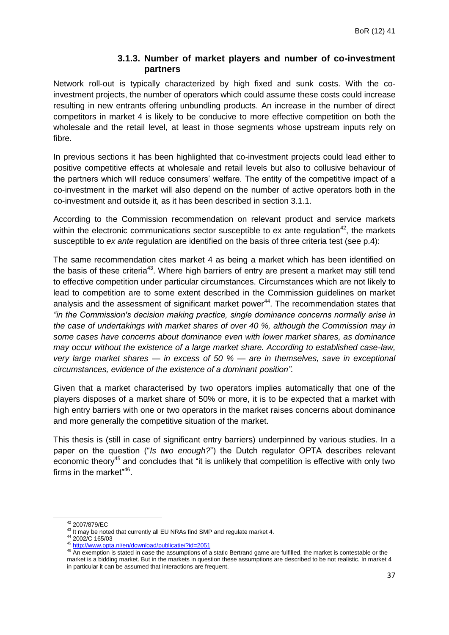#### **3.1.3. Number of market players and number of co-investment partners**

<span id="page-36-0"></span>Network roll-out is typically characterized by high fixed and sunk costs. With the coinvestment projects, the number of operators which could assume these costs could increase resulting in new entrants offering unbundling products. An increase in the number of direct competitors in market 4 is likely to be conducive to more effective competition on both the wholesale and the retail level, at least in those segments whose upstream inputs rely on fibre.

In previous sections it has been highlighted that co-investment projects could lead either to positive competitive effects at wholesale and retail levels but also to collusive behaviour of the partners which will reduce consumers' welfare. The entity of the competitive impact of a co-investment in the market will also depend on the number of active operators both in the co-investment and outside it, as it has been described in section 3.1.1.

According to the Commission recommendation on relevant product and service markets within the electronic communications sector susceptible to  $ex$  ante regulation<sup>42</sup>, the markets susceptible to *ex ante* regulation are identified on the basis of three criteria test (see p.4):

The same recommendation cites market 4 as being a market which has been identified on the basis of these criteria<sup>43</sup>. Where high barriers of entry are present a market may still tend to effective competition under particular circumstances. Circumstances which are not likely to lead to competition are to some extent described in the Commission guidelines on market analysis and the assessment of significant market power<sup>44</sup>. The recommendation states that *"in the Commission's decision making practice, single dominance concerns normally arise in the case of undertakings with market shares of over 40 %, although the Commission may in some cases have concerns about dominance even with lower market shares, as dominance may occur without the existence of a large market share. According to established case-law, very large market shares — in excess of 50 % — are in themselves, save in exceptional circumstances, evidence of the existence of a dominant position".* 

Given that a market characterised by two operators implies automatically that one of the players disposes of a market share of 50% or more, it is to be expected that a market with high entry barriers with one or two operators in the market raises concerns about dominance and more generally the competitive situation of the market.

This thesis is (still in case of significant entry barriers) underpinned by various studies. In a paper on the question ("*Is two enough?*") the Dutch regulator OPTA describes relevant economic theory<sup>45</sup> and concludes that "it is unlikely that competition is effective with only two firms in the market"<sup>46</sup>.

1

<sup>42</sup> 2007/879/EC

<sup>43</sup> It may be noted that currently all EU NRAs find SMP and regulate market 4.

<sup>44</sup> 2002/C 165/03

<sup>45</sup> <http://www.opta.nl/en/download/publicatie/?id=2051>

<sup>46</sup> An exemption is stated in case the assumptions of a static Bertrand game are fulfilled, the market is contestable or the market is a bidding market. But in the markets in question these assumptions are described to be not realistic. In market 4 in particular it can be assumed that interactions are frequent.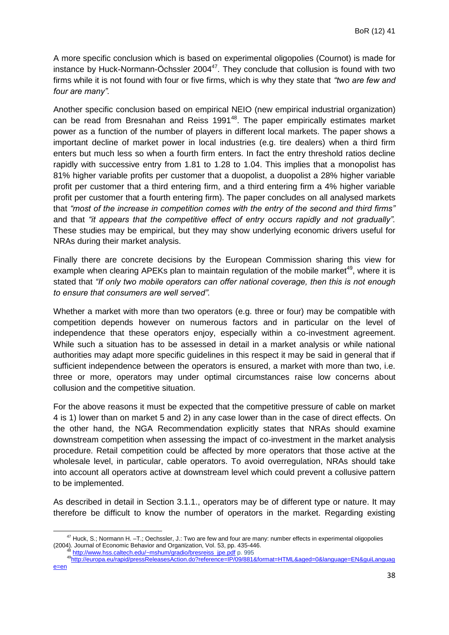A more specific conclusion which is based on experimental oligopolies (Cournot) is made for instance by Huck-Normann-Öchssler  $2004^{47}$ . They conclude that collusion is found with two firms while it is not found with four or five firms, which is why they state that *"two are few and four are many".*

Another specific conclusion based on empirical NEIO (new empirical industrial organization) can be read from Bresnahan and Reiss 1991<sup>48</sup>. The paper empirically estimates market power as a function of the number of players in different local markets. The paper shows a important decline of market power in local industries (e.g. tire dealers) when a third firm enters but much less so when a fourth firm enters. In fact the entry threshold ratios decline rapidly with successive entry from 1.81 to 1.28 to 1.04. This implies that a monopolist has 81% higher variable profits per customer that a duopolist, a duopolist a 28% higher variable profit per customer that a third entering firm, and a third entering firm a 4% higher variable profit per customer that a fourth entering firm). The paper concludes on all analysed markets that *"most of the increase in competition comes with the entry of the second and third firms"* and that *"it appears that the competitive effect of entry occurs rapidly and not gradually".* These studies may be empirical, but they may show underlying economic drivers useful for NRAs during their market analysis.

Finally there are concrete decisions by the European Commission sharing this view for example when clearing APEKs plan to maintain regulation of the mobile market<sup>49</sup>, where it is stated that *"If only two mobile operators can offer national coverage, then this is not enough to ensure that consumers are well served".*

Whether a market with more than two operators (e.g. three or four) may be compatible with competition depends however on numerous factors and in particular on the level of independence that these operators enjoy, especially within a co-investment agreement. While such a situation has to be assessed in detail in a market analysis or while national authorities may adapt more specific guidelines in this respect it may be said in general that if sufficient independence between the operators is ensured, a market with more than two, i.e. three or more, operators may under optimal circumstances raise low concerns about collusion and the competitive situation.

For the above reasons it must be expected that the competitive pressure of cable on market 4 is 1) lower than on market 5 and 2) in any case lower than in the case of direct effects. On the other hand, the NGA Recommendation explicitly states that NRAs should examine downstream competition when assessing the impact of co-investment in the market analysis procedure. Retail competition could be affected by more operators that those active at the wholesale level, in particular, cable operators. To avoid overregulation, NRAs should take into account all operators active at downstream level which could prevent a collusive pattern to be implemented.

As described in detail in Section 3.1.1., operators may be of different type or nature. It may therefore be difficult to know the number of operators in the market. Regarding existing

 $^{47}$  Huck, S.; Normann H. -T.; Oechssler, J.: Two are few and four are many: number effects in experimental oligopolies (2004). Journal of Economic Behavior and Organization, Vol. 53, pp. 435-446.<br><sup>48</sup> [http://www.hss.caltech.edu/~mshum/gradio/bresreiss\\_jpe.pdf](http://www.hss.caltech.edu/~mshum/gradio/bresreiss_jpe.pdf) p. 995

<sup>49</sup>[http://europa.eu/rapid/pressReleasesAction.do?reference=IP/09/881&format=HTML&aged=0&language=EN&guiLanguag](http://europa.eu/rapid/pressReleasesAction.do?reference=IP/09/881&format=HTML&aged=0&language=EN&guiLanguage=en)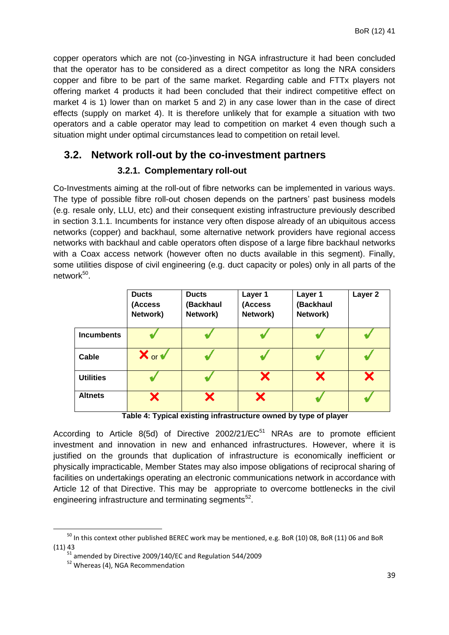copper operators which are not (co-)investing in NGA infrastructure it had been concluded that the operator has to be considered as a direct competitor as long the NRA considers copper and fibre to be part of the same market. Regarding cable and FTTx players not offering market 4 products it had been concluded that their indirect competitive effect on market 4 is 1) lower than on market 5 and 2) in any case lower than in the case of direct effects (supply on market 4). It is therefore unlikely that for example a situation with two operators and a cable operator may lead to competition on market 4 even though such a situation might under optimal circumstances lead to competition on retail level.

## <span id="page-38-0"></span>**3.2. Network roll-out by the co-investment partners**

#### **3.2.1. Complementary roll-out**

<span id="page-38-1"></span>Co-Investments aiming at the roll-out of fibre networks can be implemented in various ways. The type of possible fibre roll-out chosen depends on the partners' past business models (e.g. resale only, LLU, etc) and their consequent existing infrastructure previously described in section 3.1.1. Incumbents for instance very often dispose already of an ubiquitous access networks (copper) and backhaul, some alternative network providers have regional access networks with backhaul and cable operators often dispose of a large fibre backhaul networks with a Coax access network (however often no ducts available in this segment). Finally, some utilities dispose of civil engineering (e.g. duct capacity or poles) only in all parts of the network<sup>50</sup>.

|                   | <b>Ducts</b><br>(Access<br>Network) | <b>Ducts</b><br>(Backhaul<br>Network) | Layer 1<br>(Access<br>Network) | Layer 1<br>(Backhaul<br>Network) | Layer 2 |
|-------------------|-------------------------------------|---------------------------------------|--------------------------------|----------------------------------|---------|
| <b>Incumbents</b> |                                     |                                       |                                |                                  |         |
| Cable             | $\mathsf{X}$ or $\mathsf{v}$        |                                       |                                |                                  |         |
| <b>Utilities</b>  |                                     |                                       |                                |                                  | X       |
| <b>Altnets</b>    |                                     | X                                     | X                              |                                  |         |

**Table 4: Typical existing infrastructure owned by type of player**

According to Article 8(5d) of Directive 2002/21/EC<sup>51</sup> NRAs are to promote efficient investment and innovation in new and enhanced infrastructures. However, where it is justified on the grounds that duplication of infrastructure is economically inefficient or physically impracticable, Member States may also impose obligations of reciprocal sharing of facilities on undertakings operating an electronic communications network in accordance with Article 12 of that Directive. This may be appropriate to overcome bottlenecks in the civil engineering infrastructure and terminating segments<sup>52</sup>.

<sup>&</sup>lt;sup>50</sup> In this context other published BEREC work may be mentioned, e.g. BoR (10) 08, BoR (11) 06 and BoR (11) 43

 $51$  amended by Directive 2009/140/EC and Regulation 544/2009

<sup>52</sup> Whereas (4), NGA Recommendation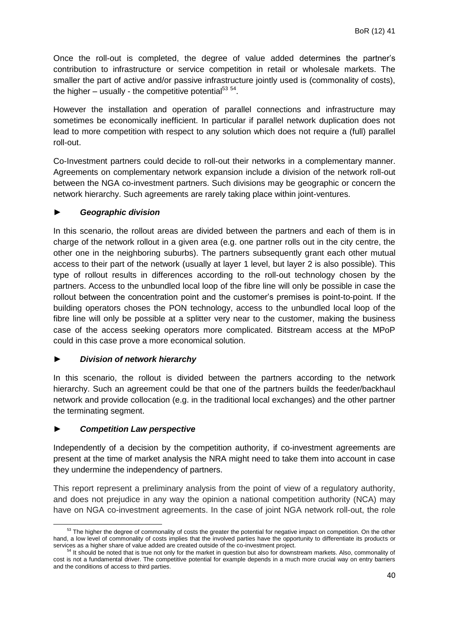Once the roll-out is completed, the degree of value added determines the partner's contribution to infrastructure or service competition in retail or wholesale markets. The smaller the part of active and/or passive infrastructure jointly used is (commonality of costs), the higher  $-$  usually - the competitive potential<sup>53 54</sup>.

However the installation and operation of parallel connections and infrastructure may sometimes be economically inefficient. In particular if parallel network duplication does not lead to more competition with respect to any solution which does not require a (full) parallel roll-out.

Co-Investment partners could decide to roll-out their networks in a complementary manner. Agreements on complementary network expansion include a division of the network roll-out between the NGA co-investment partners. Such divisions may be geographic or concern the network hierarchy. Such agreements are rarely taking place within joint-ventures.

#### ► *Geographic division*

In this scenario, the rollout areas are divided between the partners and each of them is in charge of the network rollout in a given area (e.g. one partner rolls out in the city centre, the other one in the neighboring suburbs). The partners subsequently grant each other mutual access to their part of the network (usually at layer 1 level, but layer 2 is also possible). This type of rollout results in differences according to the roll-out technology chosen by the partners. Access to the unbundled local loop of the fibre line will only be possible in case the rollout between the concentration point and the customer's premises is point-to-point. If the building operators choses the PON technology, access to the unbundled local loop of the fibre line will only be possible at a splitter very near to the customer, making the business case of the access seeking operators more complicated. Bitstream access at the MPoP could in this case prove a more economical solution.

#### ► *Division of network hierarchy*

In this scenario, the rollout is divided between the partners according to the network hierarchy. Such an agreement could be that one of the partners builds the feeder/backhaul network and provide collocation (e.g. in the traditional local exchanges) and the other partner the terminating segment.

#### ► *Competition Law perspective*

Independently of a decision by the competition authority, if co-investment agreements are present at the time of market analysis the NRA might need to take them into account in case they undermine the independency of partners.

This report represent a preliminary analysis from the point of view of a regulatory authority, and does not prejudice in any way the opinion a national competition authority (NCA) may have on NGA co-investment agreements. In the case of joint NGA network roll-out, the role

**<sup>.</sup>** <sup>53</sup> The higher the degree of commonality of costs the greater the potential for negative impact on competition. On the other hand, a low level of commonality of costs implies that the involved parties have the opportunity to differentiate its products or services as a higher share of value added are created outside of the co-investment project.

<sup>&</sup>lt;sup>54</sup> It should be noted that is true not only for the market in question but also for downstream markets. Also, commonality of cost is not a fundamental driver. The competitive potential for example depends in a much more crucial way on entry barriers and the conditions of access to third parties.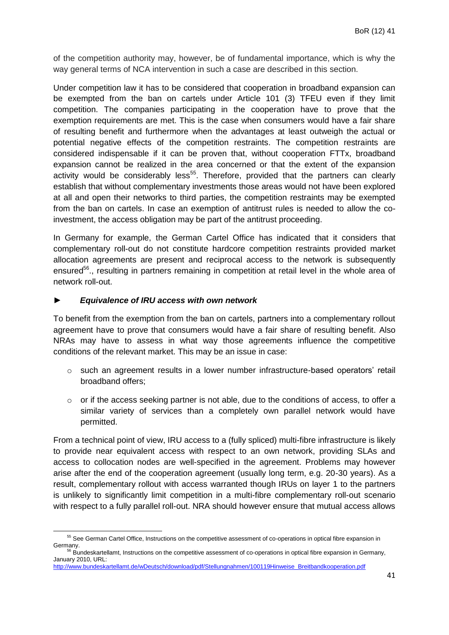of the competition authority may, however, be of fundamental importance, which is why the way general terms of NCA intervention in such a case are described in this section.

Under competition law it has to be considered that cooperation in broadband expansion can be exempted from the ban on cartels under Article 101 (3) TFEU even if they limit competition. The companies participating in the cooperation have to prove that the exemption requirements are met. This is the case when consumers would have a fair share of resulting benefit and furthermore when the advantages at least outweigh the actual or potential negative effects of the competition restraints. The competition restraints are considered indispensable if it can be proven that, without cooperation FTTx, broadband expansion cannot be realized in the area concerned or that the extent of the expansion activity would be considerably less<sup>55</sup>. Therefore, provided that the partners can clearly establish that without complementary investments those areas would not have been explored at all and open their networks to third parties, the competition restraints may be exempted from the ban on cartels. In case an exemption of antitrust rules is needed to allow the coinvestment, the access obligation may be part of the antitrust proceeding.

In Germany for example, the German Cartel Office has indicated that it considers that complementary roll-out do not constitute hardcore competition restraints provided market allocation agreements are present and reciprocal access to the network is subsequently ensured<sup>56</sup>., resulting in partners remaining in competition at retail level in the whole area of network roll-out.

#### ► *Equivalence of IRU access with own network*

To benefit from the exemption from the ban on cartels, partners into a complementary rollout agreement have to prove that consumers would have a fair share of resulting benefit. Also NRAs may have to assess in what way those agreements influence the competitive conditions of the relevant market. This may be an issue in case:

- $\circ$  such an agreement results in a lower number infrastructure-based operators' retail broadband offers;
- o or if the access seeking partner is not able, due to the conditions of access, to offer a similar variety of services than a completely own parallel network would have permitted.

From a technical point of view, IRU access to a (fully spliced) multi-fibre infrastructure is likely to provide near equivalent access with respect to an own network, providing SLAs and access to collocation nodes are well-specified in the agreement. Problems may however arise after the end of the cooperation agreement (usually long term, e.g. 20-30 years). As a result, complementary rollout with access warranted though IRUs on layer 1 to the partners is unlikely to significantly limit competition in a multi-fibre complementary roll-out scenario with respect to a fully parallel roll-out. NRA should however ensure that mutual access allows

**<sup>.</sup>** <sup>55</sup> See German Cartel Office, Instructions on the competitive assessment of co-operations in optical fibre expansion in Germany. <sup>56</sup> Bundeskartellamt, Instructions on the competitive assessment of co-operations in optical fibre expansion in Germany,

January 2010, URL:

[http://www.bundeskartellamt.de/wDeutsch/download/pdf/Stellungnahmen/100119Hinweise\\_Breitbandkooperation.pdf](http://www.bundeskartellamt.de/wDeutsch/download/pdf/Stellungnahmen/100119Hinweise_Breitbandkooperation.pdf)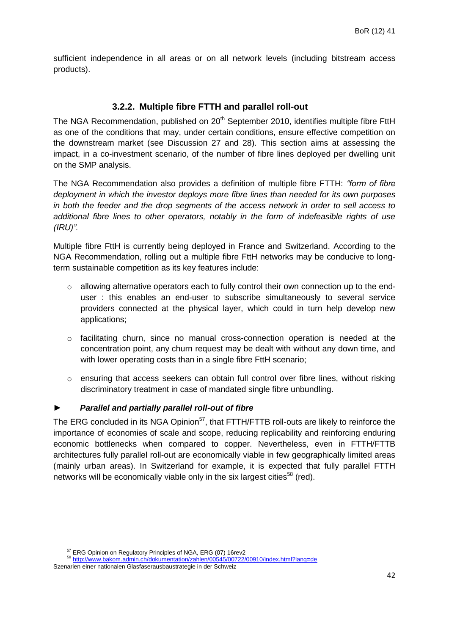sufficient independence in all areas or on all network levels (including bitstream access products).

#### **3.2.2. Multiple fibre FTTH and parallel roll-out**

<span id="page-41-0"></span>The NGA Recommendation, published on 20<sup>th</sup> September 2010, identifies multiple fibre FttH as one of the conditions that may, under certain conditions, ensure effective competition on the downstream market (see Discussion 27 and 28). This section aims at assessing the impact, in a co-investment scenario, of the number of fibre lines deployed per dwelling unit on the SMP analysis.

The NGA Recommendation also provides a definition of multiple fibre FTTH: *"form of fibre deployment in which the investor deploys more fibre lines than needed for its own purposes in both the feeder and the drop segments of the access network in order to sell access to additional fibre lines to other operators, notably in the form of indefeasible rights of use (IRU)".*

Multiple fibre FttH is currently being deployed in France and Switzerland. According to the NGA Recommendation, rolling out a multiple fibre FttH networks may be conducive to longterm sustainable competition as its key features include:

- $\circ$  allowing alternative operators each to fully control their own connection up to the enduser : this enables an end-user to subscribe simultaneously to several service providers connected at the physical layer, which could in turn help develop new applications;
- $\circ$  facilitating churn, since no manual cross-connection operation is needed at the concentration point, any churn request may be dealt with without any down time, and with lower operating costs than in a single fibre FttH scenario;
- $\circ$  ensuring that access seekers can obtain full control over fibre lines, without risking discriminatory treatment in case of mandated single fibre unbundling.

#### ► *Parallel and partially parallel roll-out of fibre*

The ERG concluded in its NGA Opinion<sup>57</sup>, that FTTH/FTTB roll-outs are likely to reinforce the importance of economies of scale and scope, reducing replicability and reinforcing enduring economic bottlenecks when compared to copper. Nevertheless, even in FTTH/FTTB architectures fully parallel roll-out are economically viable in few geographically limited areas (mainly urban areas). In Switzerland for example, it is expected that fully parallel FTTH networks will be economically viable only in the six largest cities<sup>58</sup> (red).

<sup>&</sup>lt;sup>57</sup> ERG Opinion on Regulatory Principles of NGA, ERG (07) 16rev2

<sup>58</sup> <http://www.bakom.admin.ch/dokumentation/zahlen/00545/00722/00910/index.html?lang=de>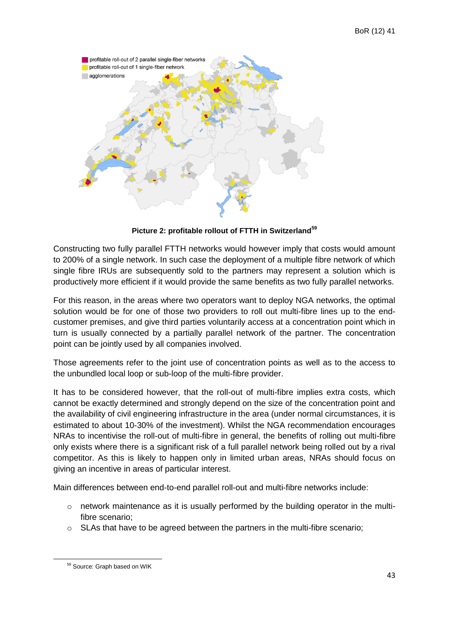

**Picture 2: profitable rollout of FTTH in Switzerland<sup>59</sup>**

Constructing two fully parallel FTTH networks would however imply that costs would amount to 200% of a single network. In such case the deployment of a multiple fibre network of which single fibre IRUs are subsequently sold to the partners may represent a solution which is productively more efficient if it would provide the same benefits as two fully parallel networks.

For this reason, in the areas where two operators want to deploy NGA networks, the optimal solution would be for one of those two providers to roll out multi-fibre lines up to the endcustomer premises, and give third parties voluntarily access at a concentration point which in turn is usually connected by a partially parallel network of the partner. The concentration point can be jointly used by all companies involved.

Those agreements refer to the joint use of concentration points as well as to the access to the unbundled local loop or sub-loop of the multi-fibre provider.

It has to be considered however, that the roll-out of multi-fibre implies extra costs, which cannot be exactly determined and strongly depend on the size of the concentration point and the availability of civil engineering infrastructure in the area (under normal circumstances, it is estimated to about 10-30% of the investment). Whilst the NGA recommendation encourages NRAs to incentivise the roll-out of multi-fibre in general, the benefits of rolling out multi-fibre only exists where there is a significant risk of a full parallel network being rolled out by a rival competitor. As this is likely to happen only in limited urban areas, NRAs should focus on giving an incentive in areas of particular interest.

Main differences between end-to-end parallel roll-out and multi-fibre networks include:

- $\circ$  network maintenance as it is usually performed by the building operator in the multifibre scenario;
- $\circ$  SLAs that have to be agreed between the partners in the multi-fibre scenario;

<sup>59</sup> Source: Graph based on WIK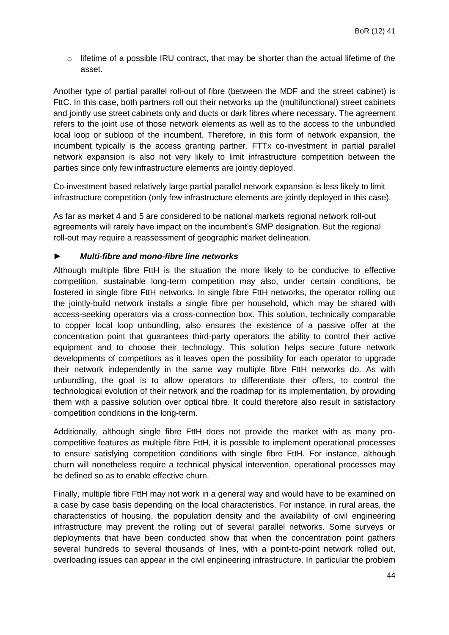o lifetime of a possible IRU contract, that may be shorter than the actual lifetime of the asset.

Another type of partial parallel roll-out of fibre (between the MDF and the street cabinet) is FttC. In this case, both partners roll out their networks up the (multifunctional) street cabinets and jointly use street cabinets only and ducts or dark fibres where necessary. The agreement refers to the joint use of those network elements as well as to the access to the unbundled local loop or subloop of the incumbent. Therefore, in this form of network expansion, the incumbent typically is the access granting partner. FTTx co-investment in partial parallel network expansion is also not very likely to limit infrastructure competition between the parties since only few infrastructure elements are jointly deployed.

Co-investment based relatively large partial parallel network expansion is less likely to limit infrastructure competition (only few infrastructure elements are jointly deployed in this case).

As far as market 4 and 5 are considered to be national markets regional network roll-out agreements will rarely have impact on the incumbent's SMP designation. But the regional roll-out may require a reassessment of geographic market delineation.

#### ► *Multi-fibre and mono-fibre line networks*

Although multiple fibre FttH is the situation the more likely to be conducive to effective competition, sustainable long-term competition may also, under certain conditions, be fostered in single fibre FttH networks. In single fibre FttH networks, the operator rolling out the jointly-build network installs a single fibre per household, which may be shared with access-seeking operators via a cross-connection box. This solution, technically comparable to copper local loop unbundling, also ensures the existence of a passive offer at the concentration point that guarantees third-party operators the ability to control their active equipment and to choose their technology. This solution helps secure future network developments of competitors as it leaves open the possibility for each operator to upgrade their network independently in the same way multiple fibre FttH networks do. As with unbundling, the goal is to allow operators to differentiate their offers, to control the technological evolution of their network and the roadmap for its implementation, by providing them with a passive solution over optical fibre. It could therefore also result in satisfactory competition conditions in the long-term.

Additionally, although single fibre FttH does not provide the market with as many procompetitive features as multiple fibre FttH, it is possible to implement operational processes to ensure satisfying competition conditions with single fibre FttH. For instance, although churn will nonetheless require a technical physical intervention, operational processes may be defined so as to enable effective churn.

Finally, multiple fibre FttH may not work in a general way and would have to be examined on a case by case basis depending on the local characteristics. For instance, in rural areas, the characteristics of housing, the population density and the availability of civil engineering infrastructure may prevent the rolling out of several parallel networks. Some surveys or deployments that have been conducted show that when the concentration point gathers several hundreds to several thousands of lines, with a point-to-point network rolled out, overloading issues can appear in the civil engineering infrastructure. In particular the problem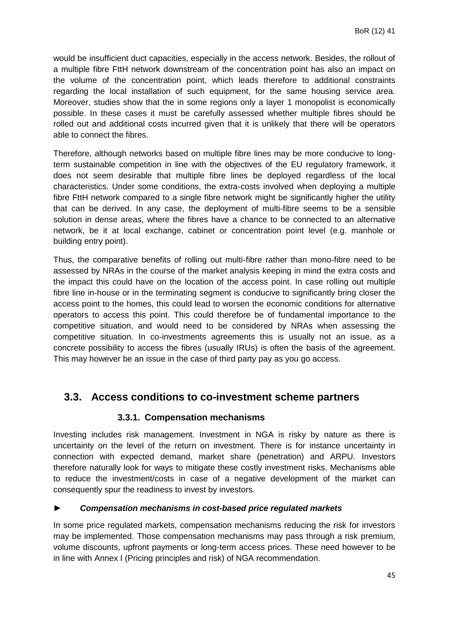would be insufficient duct capacities, especially in the access network. Besides, the rollout of a multiple fibre FttH network downstream of the concentration point has also an impact on the volume of the concentration point, which leads therefore to additional constraints regarding the local installation of such equipment, for the same housing service area. Moreover, studies show that the in some regions only a layer 1 monopolist is economically possible. In these cases it must be carefully assessed whether multiple fibres should be rolled out and additional costs incurred given that it is unlikely that there will be operators able to connect the fibres.

Therefore, although networks based on multiple fibre lines may be more conducive to longterm sustainable competition in line with the objectives of the EU regulatory framework, it does not seem desirable that multiple fibre lines be deployed regardless of the local characteristics. Under some conditions, the extra-costs involved when deploying a multiple fibre FttH network compared to a single fibre network might be significantly higher the utility that can be derived. In any case, the deployment of multi-fibre seems to be a sensible solution in dense areas, where the fibres have a chance to be connected to an alternative network, be it at local exchange, cabinet or concentration point level (e.g. manhole or building entry point).

Thus, the comparative benefits of rolling out multi-fibre rather than mono-fibre need to be assessed by NRAs in the course of the market analysis keeping in mind the extra costs and the impact this could have on the location of the access point. In case rolling out multiple fibre line in-house or in the terminating segment is conducive to significantly bring closer the access point to the homes, this could lead to worsen the economic conditions for alternative operators to access this point. This could therefore be of fundamental importance to the competitive situation, and would need to be considered by NRAs when assessing the competitive situation. In co-investments agreements this is usually not an issue, as a concrete possibility to access the fibres (usually IRUs) is often the basis of the agreement. This may however be an issue in the case of third party pay as you go access.

## <span id="page-44-0"></span>**3.3. Access conditions to co-investment scheme partners**

#### **3.3.1. Compensation mechanisms**

<span id="page-44-1"></span>Investing includes risk management. Investment in NGA is risky by nature as there is uncertainty on the level of the return on investment. There is for instance uncertainty in connection with expected demand, market share (penetration) and ARPU. Investors therefore naturally look for ways to mitigate these costly investment risks. Mechanisms able to reduce the investment/costs in case of a negative development of the market can consequently spur the readiness to invest by investors.

#### ► *Compensation mechanisms in cost-based price regulated markets*

In some price regulated markets, compensation mechanisms reducing the risk for investors may be implemented. Those compensation mechanisms may pass through a risk premium, volume discounts, upfront payments or long-term access prices. These need however to be in line with Annex I (Pricing principles and risk) of NGA recommendation.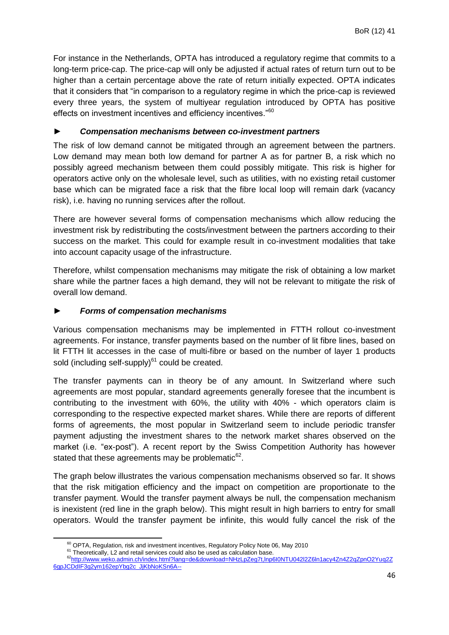For instance in the Netherlands, OPTA has introduced a regulatory regime that commits to a long-term price-cap. The price-cap will only be adjusted if actual rates of return turn out to be higher than a certain percentage above the rate of return initially expected. OPTA indicates that it considers that "in comparison to a regulatory regime in which the price-cap is reviewed every three years, the system of multiyear regulation introduced by OPTA has positive effects on investment incentives and efficiency incentives."<sup>60</sup>

#### ► *Compensation mechanisms between co-investment partners*

The risk of low demand cannot be mitigated through an agreement between the partners. Low demand may mean both low demand for partner A as for partner B, a risk which no possibly agreed mechanism between them could possibly mitigate. This risk is higher for operators active only on the wholesale level, such as utilities, with no existing retail customer base which can be migrated face a risk that the fibre local loop will remain dark (vacancy risk), i.e. having no running services after the rollout.

There are however several forms of compensation mechanisms which allow reducing the investment risk by redistributing the costs/investment between the partners according to their success on the market. This could for example result in co-investment modalities that take into account capacity usage of the infrastructure.

Therefore, whilst compensation mechanisms may mitigate the risk of obtaining a low market share while the partner faces a high demand, they will not be relevant to mitigate the risk of overall low demand.

#### ► *Forms of compensation mechanisms*

Various compensation mechanisms may be implemented in FTTH rollout co-investment agreements. For instance, transfer payments based on the number of lit fibre lines, based on lit FTTH lit accesses in the case of multi-fibre or based on the number of layer 1 products sold (including self-supply) $61$  could be created.

The transfer payments can in theory be of any amount. In Switzerland where such agreements are most popular, standard agreements generally foresee that the incumbent is contributing to the investment with 60%, the utility with 40% - which operators claim is corresponding to the respective expected market shares. While there are reports of different forms of agreements, the most popular in Switzerland seem to include periodic transfer payment adjusting the investment shares to the network market shares observed on the market (i.e. "ex-post"). A recent report by the Swiss Competition Authority has however stated that these agreements may be problematic $62$ .

The graph below illustrates the various compensation mechanisms observed so far. It shows that the risk mitigation efficiency and the impact on competition are proportionate to the transfer payment. Would the transfer payment always be null, the compensation mechanism is inexistent (red line in the graph below). This might result in high barriers to entry for small operators. Would the transfer payment be infinite, this would fully cancel the risk of the

 $60$  OPTA, Regulation, risk and investment incentives, Regulatory Policy Note 06, May 2010

<sup>&</sup>lt;sup>61</sup> Theoretically, L2 and retail services could also be used as calculation base.

<sup>62</sup>[http://www.weko.admin.ch/index.html?lang=de&download=NHzLpZeg7t,lnp6I0NTU042l2Z6ln1acy4Zn4Z2qZpnO2Yuq2Z](http://www.weko.admin.ch/index.html?lang=de&download=NHzLpZeg7t,lnp6I0NTU042l2Z6ln1acy4Zn4Z2qZpnO2Yuq2Z6gpJCDdIF3g2ym162epYbg2c_JjKbNoKSn6A--) [6gpJCDdIF3g2ym162epYbg2c\\_JjKbNoKSn6A--](http://www.weko.admin.ch/index.html?lang=de&download=NHzLpZeg7t,lnp6I0NTU042l2Z6ln1acy4Zn4Z2qZpnO2Yuq2Z6gpJCDdIF3g2ym162epYbg2c_JjKbNoKSn6A--)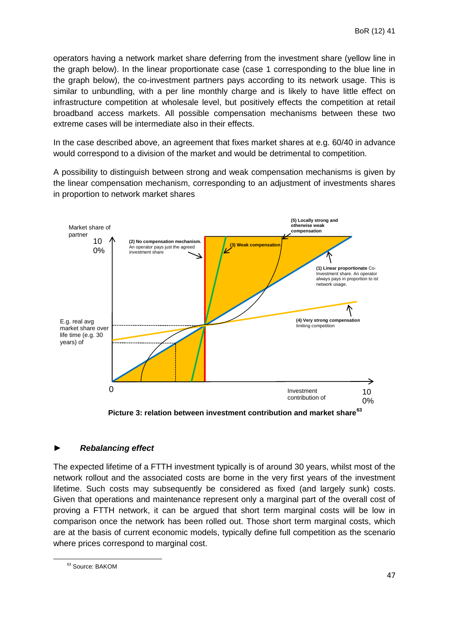operators having a network market share deferring from the investment share (yellow line in the graph below). In the linear proportionate case (case 1 corresponding to the blue line in the graph below), the co-investment partners pays according to its network usage. This is similar to unbundling, with a per line monthly charge and is likely to have little effect on infrastructure competition at wholesale level, but positively effects the competition at retail broadband access markets. All possible compensation mechanisms between these two extreme cases will be intermediate also in their effects.

In the case described above, an agreement that fixes market shares at e.g. 60/40 in advance would correspond to a division of the market and would be detrimental to competition.

A possibility to distinguish between strong and weak compensation mechanisms is given by the linear compensation mechanism, corresponding to an adjustment of investments shares in proportion to network market shares



Picture 3: relation between investment contribution and market share<sup>63</sup>

#### ► *Rebalancing effect*

The expected lifetime of a FTTH investment typically is of around 30 years, whilst most of the network rollout and the associated costs are borne in the very first years of the investment lifetime. Such costs may subsequently be considered as fixed (and largely sunk) costs. Given that operations and maintenance represent only a marginal part of the overall cost of proving a FTTH network, it can be argued that short term marginal costs will be low in comparison once the network has been rolled out. Those short term marginal costs, which are at the basis of current economic models, typically define full competition as the scenario where prices correspond to marginal cost.

<sup>&</sup>lt;sup>63</sup> Source: BAKOM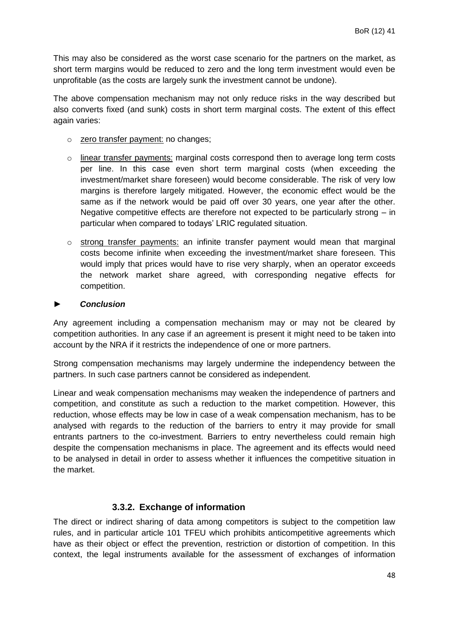This may also be considered as the worst case scenario for the partners on the market, as short term margins would be reduced to zero and the long term investment would even be unprofitable (as the costs are largely sunk the investment cannot be undone).

The above compensation mechanism may not only reduce risks in the way described but also converts fixed (and sunk) costs in short term marginal costs. The extent of this effect again varies:

- o zero transfer payment: no changes;
- o linear transfer payments: marginal costs correspond then to average long term costs per line. In this case even short term marginal costs (when exceeding the investment/market share foreseen) would become considerable. The risk of very low margins is therefore largely mitigated. However, the economic effect would be the same as if the network would be paid off over 30 years, one year after the other. Negative competitive effects are therefore not expected to be particularly strong – in particular when compared to todays' LRIC regulated situation.
- $\circ$  strong transfer payments: an infinite transfer payment would mean that marginal costs become infinite when exceeding the investment/market share foreseen. This would imply that prices would have to rise very sharply, when an operator exceeds the network market share agreed, with corresponding negative effects for competition.

#### ► *Conclusion*

Any agreement including a compensation mechanism may or may not be cleared by competition authorities. In any case if an agreement is present it might need to be taken into account by the NRA if it restricts the independence of one or more partners.

Strong compensation mechanisms may largely undermine the independency between the partners. In such case partners cannot be considered as independent.

Linear and weak compensation mechanisms may weaken the independence of partners and competition, and constitute as such a reduction to the market competition. However, this reduction, whose effects may be low in case of a weak compensation mechanism, has to be analysed with regards to the reduction of the barriers to entry it may provide for small entrants partners to the co-investment. Barriers to entry nevertheless could remain high despite the compensation mechanisms in place. The agreement and its effects would need to be analysed in detail in order to assess whether it influences the competitive situation in the market.

#### **3.3.2. Exchange of information**

<span id="page-47-0"></span>The direct or indirect sharing of data among competitors is subject to the competition law rules, and in particular article 101 TFEU which prohibits anticompetitive agreements which have as their object or effect the prevention, restriction or distortion of competition. In this context, the legal instruments available for the assessment of exchanges of information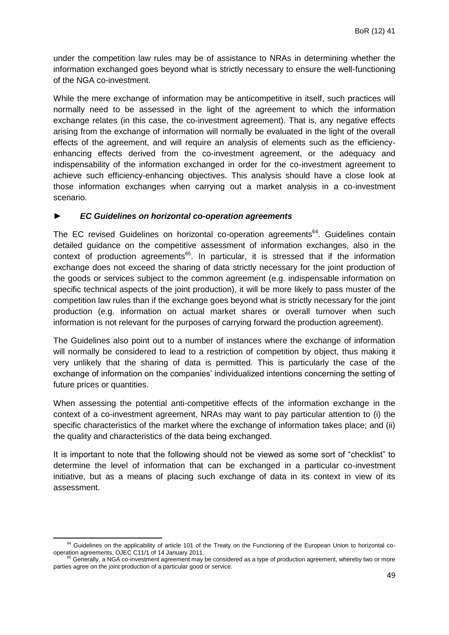under the competition law rules may be of assistance to NRAs in determining whether the information exchanged goes beyond what is strictly necessary to ensure the well-functioning of the NGA co-investment.

While the mere exchange of information may be anticompetitive in itself, such practices will normally need to be assessed in the light of the agreement to which the information exchange relates (in this case, the co-investment agreement). That is, any negative effects arising from the exchange of information will normally be evaluated in the light of the overall effects of the agreement, and will require an analysis of elements such as the efficiencyenhancing effects derived from the co-investment agreement, or the adequacy and indispensability of the information exchanged in order for the co-investment agreement to achieve such efficiency-enhancing objectives. This analysis should have a close look at those information exchanges when carrying out a market analysis in a co-investment scenario.

#### ► *EC Guidelines on horizontal co-operation agreements*

The EC revised Guidelines on horizontal co-operation agreements<sup>64</sup>. Guidelines contain detailed guidance on the competitive assessment of information exchanges, also in the context of production agreements<sup>65</sup>. In particular, it is stressed that if the information exchange does not exceed the sharing of data strictly necessary for the joint production of the goods or services subject to the common agreement (e.g. indispensable information on specific technical aspects of the joint production), it will be more likely to pass muster of the competition law rules than if the exchange goes beyond what is strictly necessary for the joint production (e.g. information on actual market shares or overall turnover when such information is not relevant for the purposes of carrying forward the production agreement).

The Guidelines also point out to a number of instances where the exchange of information will normally be considered to lead to a restriction of competition by object, thus making it very unlikely that the sharing of data is permitted. This is particularly the case of the exchange of information on the companies' individualized intentions concerning the setting of future prices or quantities.

When assessing the potential anti-competitive effects of the information exchange in the context of a co-investment agreement, NRAs may want to pay particular attention to (i) the specific characteristics of the market where the exchange of information takes place; and (ii) the quality and characteristics of the data being exchanged.

It is important to note that the following should not be viewed as some sort of "checklist" to determine the level of information that can be exchanged in a particular co-investment initiative, but as a means of placing such exchange of data in its context in view of its assessment.

<sup>&</sup>lt;sup>64</sup> Guidelines on the applicability of article 101 of the Treaty on the Functioning of the European Union to horizontal cooperation agreements, OJEC C11/1 of 14 January 2011.

 $^5$  Generally, a NGA co-investment agreement may be considered as a type of production agreement, whereby two or more parties agree on the joint production of a particular good or service.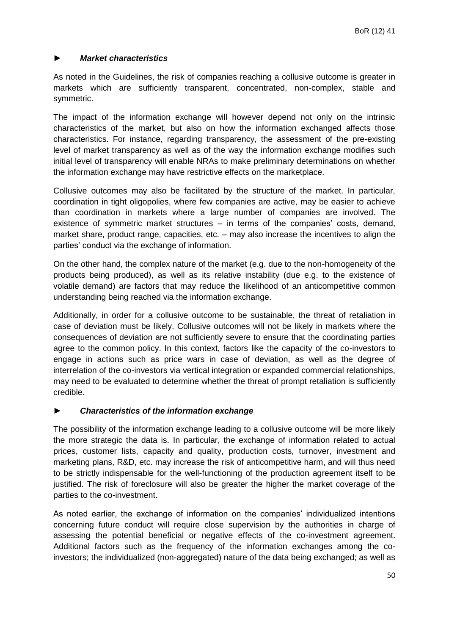#### ► *Market characteristics*

As noted in the Guidelines, the risk of companies reaching a collusive outcome is greater in markets which are sufficiently transparent, concentrated, non-complex, stable and symmetric.

The impact of the information exchange will however depend not only on the intrinsic characteristics of the market, but also on how the information exchanged affects those characteristics. For instance, regarding transparency, the assessment of the pre-existing level of market transparency as well as of the way the information exchange modifies such initial level of transparency will enable NRAs to make preliminary determinations on whether the information exchange may have restrictive effects on the marketplace.

Collusive outcomes may also be facilitated by the structure of the market. In particular, coordination in tight oligopolies, where few companies are active, may be easier to achieve than coordination in markets where a large number of companies are involved. The existence of symmetric market structures – in terms of the companies' costs, demand, market share, product range, capacities, etc. – may also increase the incentives to align the parties' conduct via the exchange of information.

On the other hand, the complex nature of the market (e.g. due to the non-homogeneity of the products being produced), as well as its relative instability (due e.g. to the existence of volatile demand) are factors that may reduce the likelihood of an anticompetitive common understanding being reached via the information exchange.

Additionally, in order for a collusive outcome to be sustainable, the threat of retaliation in case of deviation must be likely. Collusive outcomes will not be likely in markets where the consequences of deviation are not sufficiently severe to ensure that the coordinating parties agree to the common policy. In this context, factors like the capacity of the co-investors to engage in actions such as price wars in case of deviation, as well as the degree of interrelation of the co-investors via vertical integration or expanded commercial relationships, may need to be evaluated to determine whether the threat of prompt retaliation is sufficiently credible.

#### ► *Characteristics of the information exchange*

The possibility of the information exchange leading to a collusive outcome will be more likely the more strategic the data is. In particular, the exchange of information related to actual prices, customer lists, capacity and quality, production costs, turnover, investment and marketing plans, R&D, etc. may increase the risk of anticompetitive harm, and will thus need to be strictly indispensable for the well-functioning of the production agreement itself to be justified. The risk of foreclosure will also be greater the higher the market coverage of the parties to the co-investment.

As noted earlier, the exchange of information on the companies' individualized intentions concerning future conduct will require close supervision by the authorities in charge of assessing the potential beneficial or negative effects of the co-investment agreement. Additional factors such as the frequency of the information exchanges among the coinvestors; the individualized (non-aggregated) nature of the data being exchanged; as well as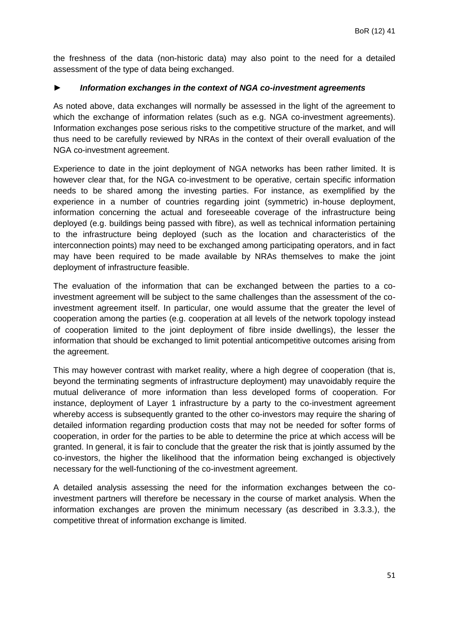the freshness of the data (non-historic data) may also point to the need for a detailed assessment of the type of data being exchanged.

#### ► *Information exchanges in the context of NGA co-investment agreements*

As noted above, data exchanges will normally be assessed in the light of the agreement to which the exchange of information relates (such as e.g. NGA co-investment agreements). Information exchanges pose serious risks to the competitive structure of the market, and will thus need to be carefully reviewed by NRAs in the context of their overall evaluation of the NGA co-investment agreement.

Experience to date in the joint deployment of NGA networks has been rather limited. It is however clear that, for the NGA co-investment to be operative, certain specific information needs to be shared among the investing parties. For instance, as exemplified by the experience in a number of countries regarding joint (symmetric) in-house deployment, information concerning the actual and foreseeable coverage of the infrastructure being deployed (e.g. buildings being passed with fibre), as well as technical information pertaining to the infrastructure being deployed (such as the location and characteristics of the interconnection points) may need to be exchanged among participating operators, and in fact may have been required to be made available by NRAs themselves to make the joint deployment of infrastructure feasible.

The evaluation of the information that can be exchanged between the parties to a coinvestment agreement will be subject to the same challenges than the assessment of the coinvestment agreement itself. In particular, one would assume that the greater the level of cooperation among the parties (e.g. cooperation at all levels of the network topology instead of cooperation limited to the joint deployment of fibre inside dwellings), the lesser the information that should be exchanged to limit potential anticompetitive outcomes arising from the agreement.

This may however contrast with market reality, where a high degree of cooperation (that is, beyond the terminating segments of infrastructure deployment) may unavoidably require the mutual deliverance of more information than less developed forms of cooperation. For instance, deployment of Layer 1 infrastructure by a party to the co-investment agreement whereby access is subsequently granted to the other co-investors may require the sharing of detailed information regarding production costs that may not be needed for softer forms of cooperation, in order for the parties to be able to determine the price at which access will be granted. In general, it is fair to conclude that the greater the risk that is jointly assumed by the co-investors, the higher the likelihood that the information being exchanged is objectively necessary for the well-functioning of the co-investment agreement.

A detailed analysis assessing the need for the information exchanges between the coinvestment partners will therefore be necessary in the course of market analysis. When the information exchanges are proven the minimum necessary (as described in 3.3.3.), the competitive threat of information exchange is limited.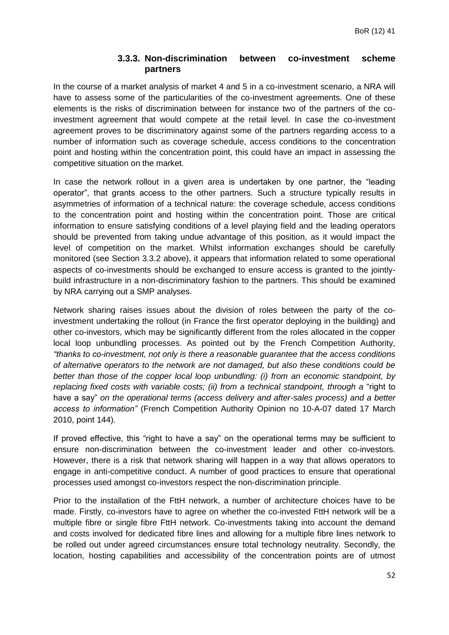#### **3.3.3. Non-discrimination between co-investment scheme partners**

<span id="page-51-0"></span>In the course of a market analysis of market 4 and 5 in a co-investment scenario, a NRA will have to assess some of the particularities of the co-investment agreements. One of these elements is the risks of discrimination between for instance two of the partners of the coinvestment agreement that would compete at the retail level. In case the co-investment agreement proves to be discriminatory against some of the partners regarding access to a number of information such as coverage schedule, access conditions to the concentration point and hosting within the concentration point, this could have an impact in assessing the competitive situation on the market.

In case the network rollout in a given area is undertaken by one partner, the "leading operator", that grants access to the other partners. Such a structure typically results in asymmetries of information of a technical nature: the coverage schedule, access conditions to the concentration point and hosting within the concentration point. Those are critical information to ensure satisfying conditions of a level playing field and the leading operators should be prevented from taking undue advantage of this position, as it would impact the level of competition on the market. Whilst information exchanges should be carefully monitored (see Section 3.3.2 above), it appears that information related to some operational aspects of co-investments should be exchanged to ensure access is granted to the jointlybuild infrastructure in a non-discriminatory fashion to the partners. This should be examined by NRA carrying out a SMP analyses.

Network sharing raises issues about the division of roles between the party of the coinvestment undertaking the rollout (in France the first operator deploying in the building) and other co-investors, which may be significantly different from the roles allocated in the copper local loop unbundling processes. As pointed out by the French Competition Authority, *"thanks to co-investment, not only is there a reasonable guarantee that the access conditions of alternative operators to the network are not damaged, but also these conditions could be better than those of the copper local loop unbundling: (i) from an economic standpoint, by replacing fixed costs with variable costs; (ii) from a technical standpoint, through a* "right to have a say" *on the operational terms (access delivery and after-sales process) and a better access to information"* (French Competition Authority Opinion no 10-A-07 dated 17 March 2010, point 144).

If proved effective, this "right to have a say" on the operational terms may be sufficient to ensure non-discrimination between the co-investment leader and other co-investors. However, there is a risk that network sharing will happen in a way that allows operators to engage in anti-competitive conduct. A number of good practices to ensure that operational processes used amongst co-investors respect the non-discrimination principle.

Prior to the installation of the FttH network, a number of architecture choices have to be made. Firstly, co-investors have to agree on whether the co-invested FttH network will be a multiple fibre or single fibre FttH network. Co-investments taking into account the demand and costs involved for dedicated fibre lines and allowing for a multiple fibre lines network to be rolled out under agreed circumstances ensure total technology neutrality. Secondly, the location, hosting capabilities and accessibility of the concentration points are of utmost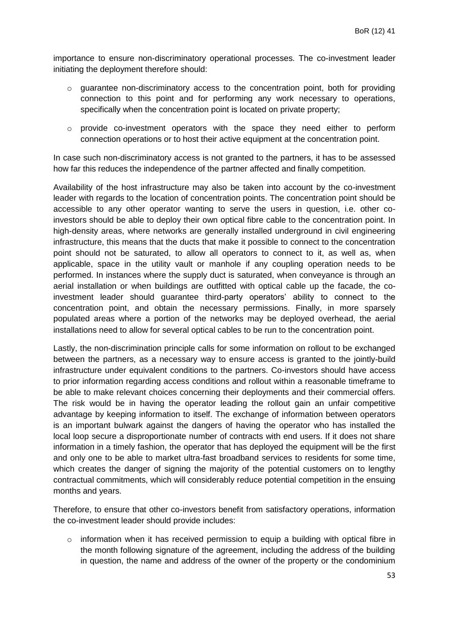importance to ensure non-discriminatory operational processes. The co-investment leader initiating the deployment therefore should:

- $\circ$  quarantee non-discriminatory access to the concentration point, both for providing connection to this point and for performing any work necessary to operations, specifically when the concentration point is located on private property;
- $\circ$  provide co-investment operators with the space they need either to perform connection operations or to host their active equipment at the concentration point.

In case such non-discriminatory access is not granted to the partners, it has to be assessed how far this reduces the independence of the partner affected and finally competition.

Availability of the host infrastructure may also be taken into account by the co-investment leader with regards to the location of concentration points. The concentration point should be accessible to any other operator wanting to serve the users in question, i.e. other coinvestors should be able to deploy their own optical fibre cable to the concentration point. In high-density areas, where networks are generally installed underground in civil engineering infrastructure, this means that the ducts that make it possible to connect to the concentration point should not be saturated, to allow all operators to connect to it, as well as, when applicable, space in the utility vault or manhole if any coupling operation needs to be performed. In instances where the supply duct is saturated, when conveyance is through an aerial installation or when buildings are outfitted with optical cable up the facade, the coinvestment leader should guarantee third-party operators' ability to connect to the concentration point, and obtain the necessary permissions. Finally, in more sparsely populated areas where a portion of the networks may be deployed overhead, the aerial installations need to allow for several optical cables to be run to the concentration point.

Lastly, the non-discrimination principle calls for some information on rollout to be exchanged between the partners, as a necessary way to ensure access is granted to the jointly-build infrastructure under equivalent conditions to the partners. Co-investors should have access to prior information regarding access conditions and rollout within a reasonable timeframe to be able to make relevant choices concerning their deployments and their commercial offers. The risk would be in having the operator leading the rollout gain an unfair competitive advantage by keeping information to itself. The exchange of information between operators is an important bulwark against the dangers of having the operator who has installed the local loop secure a disproportionate number of contracts with end users. If it does not share information in a timely fashion, the operator that has deployed the equipment will be the first and only one to be able to market ultra-fast broadband services to residents for some time, which creates the danger of signing the majority of the potential customers on to lengthy contractual commitments, which will considerably reduce potential competition in the ensuing months and years.

Therefore, to ensure that other co-investors benefit from satisfactory operations, information the co-investment leader should provide includes:

 $\circ$  information when it has received permission to equip a building with optical fibre in the month following signature of the agreement, including the address of the building in question, the name and address of the owner of the property or the condominium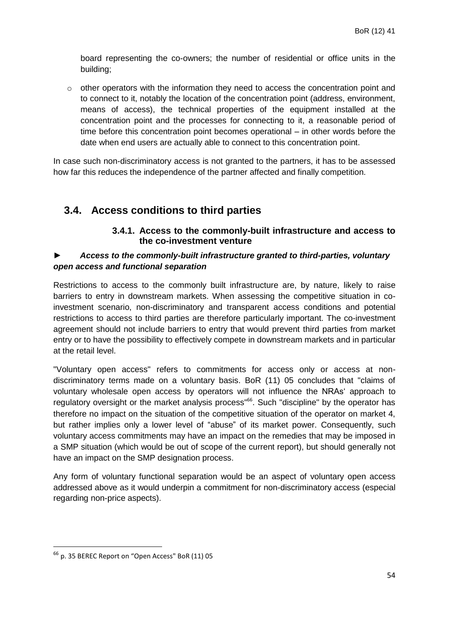board representing the co-owners; the number of residential or office units in the building;

 $\circ$  other operators with the information they need to access the concentration point and to connect to it, notably the location of the concentration point (address, environment, means of access), the technical properties of the equipment installed at the concentration point and the processes for connecting to it, a reasonable period of time before this concentration point becomes operational – in other words before the date when end users are actually able to connect to this concentration point.

In case such non-discriminatory access is not granted to the partners, it has to be assessed how far this reduces the independence of the partner affected and finally competition.

## <span id="page-53-1"></span><span id="page-53-0"></span>**3.4. Access conditions to third parties**

#### **3.4.1. Access to the commonly-built infrastructure and access to the co-investment venture**

#### ► *Access to the commonly-built infrastructure granted to third-parties, voluntary open access and functional separation*

Restrictions to access to the commonly built infrastructure are, by nature, likely to raise barriers to entry in downstream markets. When assessing the competitive situation in coinvestment scenario, non-discriminatory and transparent access conditions and potential restrictions to access to third parties are therefore particularly important. The co-investment agreement should not include barriers to entry that would prevent third parties from market entry or to have the possibility to effectively compete in downstream markets and in particular at the retail level.

"Voluntary open access" refers to commitments for access only or access at nondiscriminatory terms made on a voluntary basis. BoR (11) 05 concludes that "claims of voluntary wholesale open access by operators will not influence the NRAs' approach to regulatory oversight or the market analysis process"<sup>66</sup>. Such "discipline" by the operator has therefore no impact on the situation of the competitive situation of the operator on market 4, but rather implies only a lower level of "abuse" of its market power. Consequently, such voluntary access commitments may have an impact on the remedies that may be imposed in a SMP situation (which would be out of scope of the current report), but should generally not have an impact on the SMP designation process.

Any form of voluntary functional separation would be an aspect of voluntary open access addressed above as it would underpin a commitment for non-discriminatory access (especial regarding non-price aspects).

 $66$  p. 35 BEREC Report on "Open Access" BoR (11) 05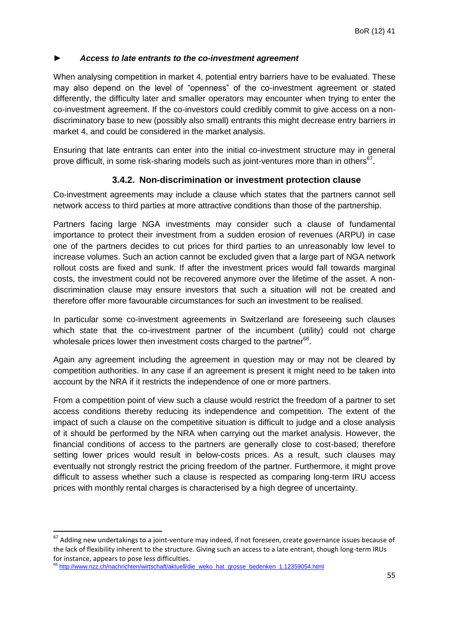#### ► *Access to late entrants to the co-investment agreement*

When analysing competition in market 4, potential entry barriers have to be evaluated. These may also depend on the level of "openness" of the co-investment agreement or stated differently, the difficulty later and smaller operators may encounter when trying to enter the co-investment agreement. If the co-investors could credibly commit to give access on a nondiscriminatory base to new (possibly also small) entrants this might decrease entry barriers in market 4, and could be considered in the market analysis.

Ensuring that late entrants can enter into the initial co-investment structure may in general prove difficult, in some risk-sharing models such as joint-ventures more than in others<sup>67</sup>.

### **3.4.2. Non-discrimination or investment protection clause**

<span id="page-54-0"></span>Co-investment agreements may include a clause which states that the partners cannot sell network access to third parties at more attractive conditions than those of the partnership.

Partners facing large NGA investments may consider such a clause of fundamental importance to protect their investment from a sudden erosion of revenues (ARPU) in case one of the partners decides to cut prices for third parties to an unreasonably low level to increase volumes. Such an action cannot be excluded given that a large part of NGA network rollout costs are fixed and sunk. If after the investment prices would fall towards marginal costs, the investment could not be recovered anymore over the lifetime of the asset. A nondiscrimination clause may ensure investors that such a situation will not be created and therefore offer more favourable circumstances for such an investment to be realised.

In particular some co-investment agreements in Switzerland are foreseeing such clauses which state that the co-investment partner of the incumbent (utility) could not charge wholesale prices lower then investment costs charged to the partner<sup>68</sup>.

Again any agreement including the agreement in question may or may not be cleared by competition authorities. In any case if an agreement is present it might need to be taken into account by the NRA if it restricts the independence of one or more partners.

From a competition point of view such a clause would restrict the freedom of a partner to set access conditions thereby reducing its independence and competition. The extent of the impact of such a clause on the competitive situation is difficult to judge and a close analysis of it should be performed by the NRA when carrying out the market analysis. However, the financial conditions of access to the partners are generally close to cost-based; therefore setting lower prices would result in below-costs prices. As a result, such clauses may eventually not strongly restrict the pricing freedom of the partner. Furthermore, it might prove difficult to assess whether such a clause is respected as comparing long-term IRU access prices with monthly rental charges is characterised by a high degree of uncertainty.

<sup>&</sup>lt;sup>67</sup> Adding new undertakings to a joint-venture may indeed, if not foreseen, create governance issues because of the lack of flexibility inherent to the structure. Giving such an access to a late entrant, though long-term IRUs for instance, appears to pose less difficulties.

<sup>&</sup>lt;sup>68</sup> [http://www.nzz.ch/nachrichten/wirtschaft/aktuell/die\\_weko\\_hat\\_grosse\\_bedenken\\_1.12359054.html](http://www.nzz.ch/nachrichten/wirtschaft/aktuell/die_weko_hat_grosse_bedenken_1.12359054.html)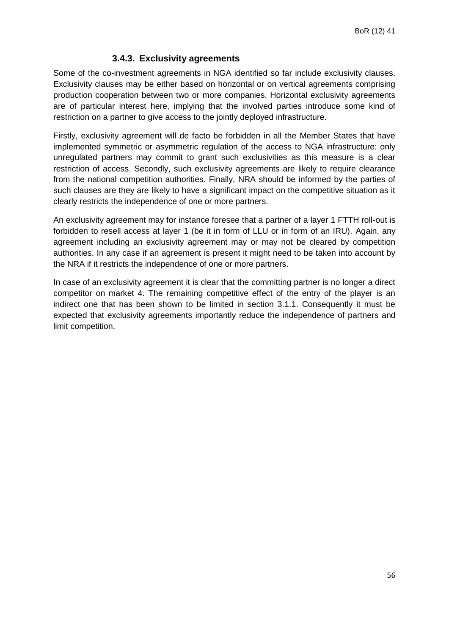#### **3.4.3. Exclusivity agreements**

<span id="page-55-0"></span>Some of the co-investment agreements in NGA identified so far include exclusivity clauses. Exclusivity clauses may be either based on horizontal or on vertical agreements comprising production cooperation between two or more companies. Horizontal exclusivity agreements are of particular interest here, implying that the involved parties introduce some kind of restriction on a partner to give access to the jointly deployed infrastructure.

Firstly, exclusivity agreement will de facto be forbidden in all the Member States that have implemented symmetric or asymmetric regulation of the access to NGA infrastructure: only unregulated partners may commit to grant such exclusivities as this measure is a clear restriction of access. Secondly, such exclusivity agreements are likely to require clearance from the national competition authorities. Finally, NRA should be informed by the parties of such clauses are they are likely to have a significant impact on the competitive situation as it clearly restricts the independence of one or more partners.

An exclusivity agreement may for instance foresee that a partner of a layer 1 FTTH roll-out is forbidden to resell access at layer 1 (be it in form of LLU or in form of an IRU). Again, any agreement including an exclusivity agreement may or may not be cleared by competition authorities. In any case if an agreement is present it might need to be taken into account by the NRA if it restricts the independence of one or more partners.

In case of an exclusivity agreement it is clear that the committing partner is no longer a direct competitor on market 4. The remaining competitive effect of the entry of the player is an indirect one that has been shown to be limited in section 3.1.1. Consequently it must be expected that exclusivity agreements importantly reduce the independence of partners and limit competition.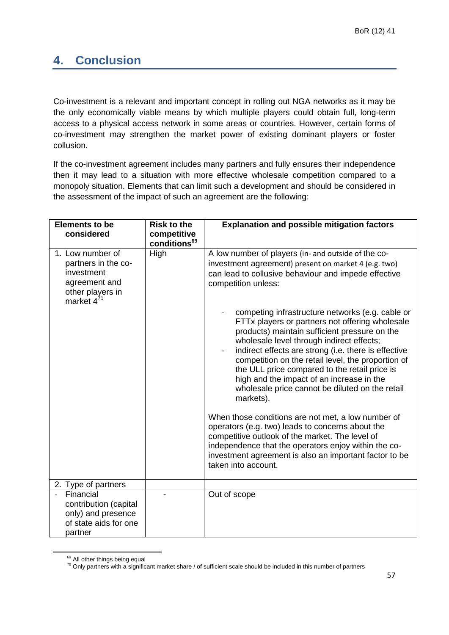## <span id="page-56-0"></span>**4. Conclusion**

Co-investment is a relevant and important concept in rolling out NGA networks as it may be the only economically viable means by which multiple players could obtain full, long-term access to a physical access network in some areas or countries. However, certain forms of co-investment may strengthen the market power of existing dominant players or foster collusion.

If the co-investment agreement includes many partners and fully ensures their independence then it may lead to a situation with more effective wholesale competition compared to a monopoly situation. Elements that can limit such a development and should be considered in the assessment of the impact of such an agreement are the following:

| <b>Elements to be</b>               | <b>Risk to the</b>       | <b>Explanation and possible mitigation factors</b>                                         |
|-------------------------------------|--------------------------|--------------------------------------------------------------------------------------------|
| considered                          | competitive              |                                                                                            |
|                                     | conditions <sup>69</sup> |                                                                                            |
| 1. Low number of                    | High                     | A low number of players (in- and outside of the co-                                        |
| partners in the co-                 |                          | investment agreement) present on market 4 (e.g. two)                                       |
| investment                          |                          | can lead to collusive behaviour and impede effective                                       |
| agreement and                       |                          | competition unless:                                                                        |
| other players in<br>market $4^{70}$ |                          |                                                                                            |
|                                     |                          | competing infrastructure networks (e.g. cable or                                           |
|                                     |                          | FTTx players or partners not offering wholesale                                            |
|                                     |                          | products) maintain sufficient pressure on the                                              |
|                                     |                          | wholesale level through indirect effects;                                                  |
|                                     |                          | indirect effects are strong (i.e. there is effective                                       |
|                                     |                          | competition on the retail level, the proportion of                                         |
|                                     |                          | the ULL price compared to the retail price is<br>high and the impact of an increase in the |
|                                     |                          | wholesale price cannot be diluted on the retail                                            |
|                                     |                          | markets).                                                                                  |
|                                     |                          |                                                                                            |
|                                     |                          | When those conditions are not met, a low number of                                         |
|                                     |                          | operators (e.g. two) leads to concerns about the                                           |
|                                     |                          | competitive outlook of the market. The level of                                            |
|                                     |                          | independence that the operators enjoy within the co-                                       |
|                                     |                          | investment agreement is also an important factor to be<br>taken into account.              |
|                                     |                          |                                                                                            |
| 2. Type of partners                 |                          |                                                                                            |
| Financial                           |                          | Out of scope                                                                               |
| contribution (capital               |                          |                                                                                            |
| only) and presence                  |                          |                                                                                            |
| of state aids for one               |                          |                                                                                            |
| partner                             |                          |                                                                                            |

<sup>&</sup>lt;sup>69</sup> All other things being equal

1

 $70$  Only partners with a significant market share / of sufficient scale should be included in this number of partners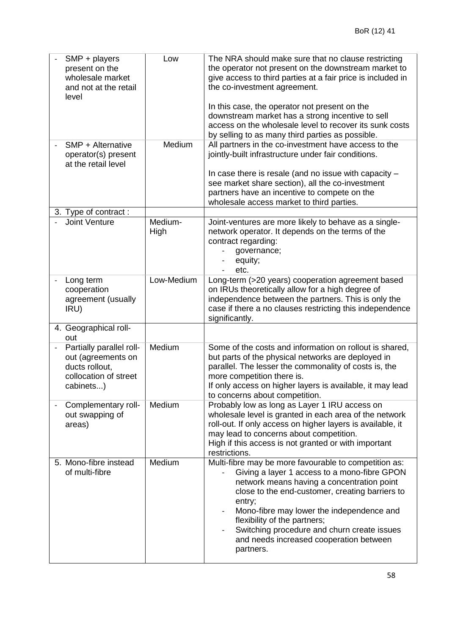| SMP + players<br>present on the<br>wholesale market<br>and not at the retail<br>level                  | Low             | The NRA should make sure that no clause restricting<br>the operator not present on the downstream market to<br>give access to third parties at a fair price is included in<br>the co-investment agreement.<br>In this case, the operator not present on the<br>downstream market has a strong incentive to sell<br>access on the wholesale level to recover its sunk costs<br>by selling to as many third parties as possible. |
|--------------------------------------------------------------------------------------------------------|-----------------|--------------------------------------------------------------------------------------------------------------------------------------------------------------------------------------------------------------------------------------------------------------------------------------------------------------------------------------------------------------------------------------------------------------------------------|
| SMP + Alternative<br>operator(s) present<br>at the retail level                                        | Medium          | All partners in the co-investment have access to the<br>jointly-built infrastructure under fair conditions.<br>In case there is resale (and no issue with capacity -<br>see market share section), all the co-investment<br>partners have an incentive to compete on the<br>wholesale access market to third parties.                                                                                                          |
| 3. Type of contract:                                                                                   |                 |                                                                                                                                                                                                                                                                                                                                                                                                                                |
| Joint Venture                                                                                          | Medium-<br>High | Joint-ventures are more likely to behave as a single-<br>network operator. It depends on the terms of the<br>contract regarding:<br>governance;<br>equity;<br>etc.                                                                                                                                                                                                                                                             |
| Long term<br>$\qquad \qquad -$<br>cooperation<br>agreement (usually<br>IRU)                            | Low-Medium      | Long-term (>20 years) cooperation agreement based<br>on IRUs theoretically allow for a high degree of<br>independence between the partners. This is only the<br>case if there a no clauses restricting this independence<br>significantly.                                                                                                                                                                                     |
| 4. Geographical roll-<br>out                                                                           |                 |                                                                                                                                                                                                                                                                                                                                                                                                                                |
| Partially parallel roll-<br>out (agreements on<br>ducts rollout,<br>collocation of street<br>cabinets) | Medium          | Some of the costs and information on rollout is shared,<br>but parts of the physical networks are deployed in<br>parallel. The lesser the commonality of costs is, the<br>more competition there is.<br>If only access on higher layers is available, it may lead<br>to concerns about competition.                                                                                                                            |
| Complementary roll-<br>out swapping of<br>areas)                                                       | Medium          | Probably low as long as Layer 1 IRU access on<br>wholesale level is granted in each area of the network<br>roll-out. If only access on higher layers is available, it<br>may lead to concerns about competition.<br>High if this access is not granted or with important<br>restrictions.                                                                                                                                      |
| 5. Mono-fibre instead<br>of multi-fibre                                                                | <b>Medium</b>   | Multi-fibre may be more favourable to competition as:<br>Giving a layer 1 access to a mono-fibre GPON<br>network means having a concentration point<br>close to the end-customer, creating barriers to<br>entry;<br>Mono-fibre may lower the independence and<br>flexibility of the partners;<br>Switching procedure and churn create issues<br>and needs increased cooperation between<br>partners.                           |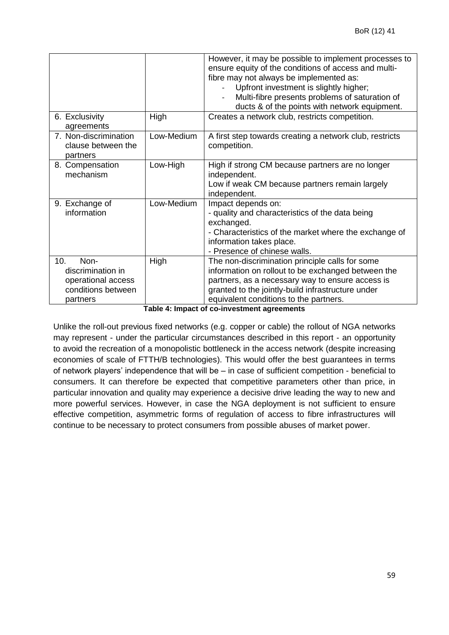| 6. Exclusivity                                                                           | High       | However, it may be possible to implement processes to<br>ensure equity of the conditions of access and multi-<br>fibre may not always be implemented as:<br>Upfront investment is slightly higher;<br>Multi-fibre presents problems of saturation of<br>ducts & of the points with network equipment.<br>Creates a network club, restricts competition. |
|------------------------------------------------------------------------------------------|------------|---------------------------------------------------------------------------------------------------------------------------------------------------------------------------------------------------------------------------------------------------------------------------------------------------------------------------------------------------------|
| agreements<br>7. Non-discrimination<br>clause between the<br>partners                    | Low-Medium | A first step towards creating a network club, restricts<br>competition.                                                                                                                                                                                                                                                                                 |
| 8. Compensation<br>mechanism                                                             | Low-High   | High if strong CM because partners are no longer<br>independent.<br>Low if weak CM because partners remain largely<br>independent.                                                                                                                                                                                                                      |
| 9. Exchange of<br>information                                                            | Low-Medium | Impact depends on:<br>- quality and characteristics of the data being<br>exchanged.<br>- Characteristics of the market where the exchange of<br>information takes place.<br>- Presence of chinese walls.                                                                                                                                                |
| 10.<br>Non-<br>discrimination in<br>operational access<br>conditions between<br>partners | High       | The non-discrimination principle calls for some<br>information on rollout to be exchanged between the<br>partners, as a necessary way to ensure access is<br>granted to the jointly-build infrastructure under<br>equivalent conditions to the partners.<br>Toble 1: Impact of as investment careements                                                 |

**Table 4: Impact of co-investment agreements**

Unlike the roll-out previous fixed networks (e.g. copper or cable) the rollout of NGA networks may represent - under the particular circumstances described in this report - an opportunity to avoid the recreation of a monopolistic bottleneck in the access network (despite increasing economies of scale of FTTH/B technologies). This would offer the best guarantees in terms of network players' independence that will be – in case of sufficient competition - beneficial to consumers. It can therefore be expected that competitive parameters other than price, in particular innovation and quality may experience a decisive drive leading the way to new and more powerful services. However, in case the NGA deployment is not sufficient to ensure effective competition, asymmetric forms of regulation of access to fibre infrastructures will continue to be necessary to protect consumers from possible abuses of market power.